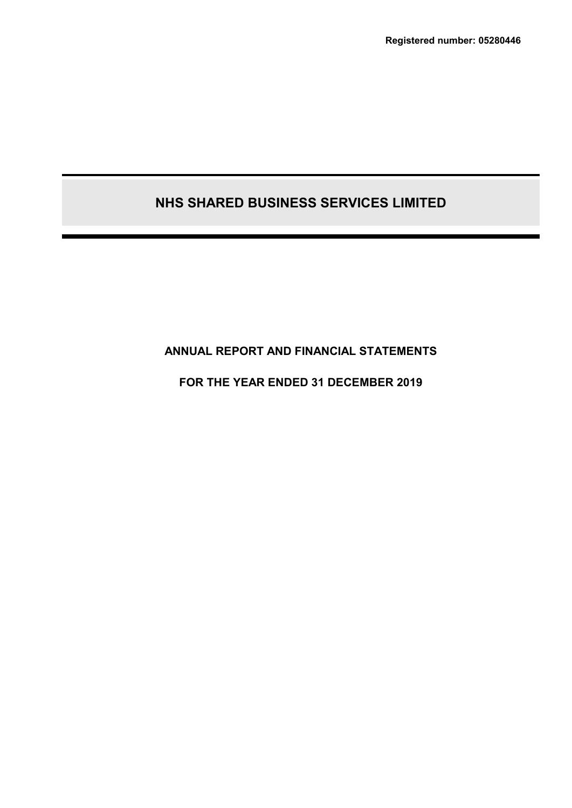# **ANNUAL REPORT AND FINANCIAL STATEMENTS**

# **FOR THE YEAR ENDED 31 DECEMBER 2019**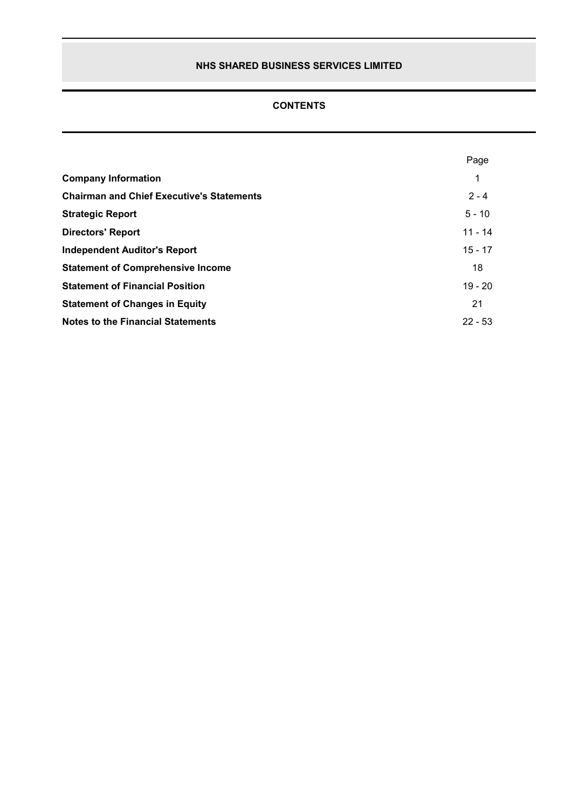# **CONTENTS**

|                                                  | Page      |
|--------------------------------------------------|-----------|
| <b>Company Information</b>                       | 1         |
| <b>Chairman and Chief Executive's Statements</b> | $2 - 4$   |
| <b>Strategic Report</b>                          | $5 - 10$  |
| <b>Directors' Report</b>                         | $11 - 14$ |
| <b>Independent Auditor's Report</b>              | $15 - 17$ |
| <b>Statement of Comprehensive Income</b>         | 18        |
| <b>Statement of Financial Position</b>           | $19 - 20$ |
| <b>Statement of Changes in Equity</b>            | 21        |
| <b>Notes to the Financial Statements</b>         | $22 - 53$ |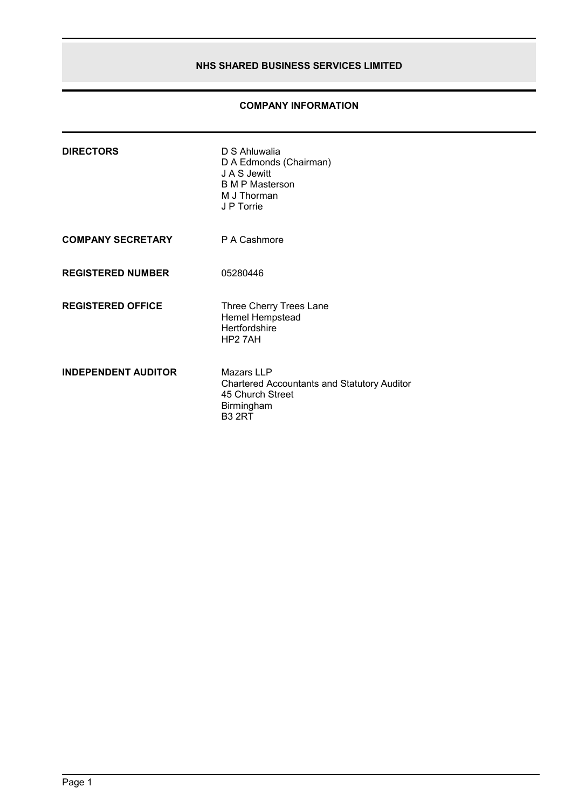# **COMPANY INFORMATION**

| <b>DIRECTORS</b>           | D S Ahluwalia<br>D A Edmonds (Chairman)<br>J A S Jewitt<br><b>B</b> M P Masterson<br>M J Thorman<br>J P Torrie |
|----------------------------|----------------------------------------------------------------------------------------------------------------|
| <b>COMPANY SECRETARY</b>   | P A Cashmore                                                                                                   |
| <b>REGISTERED NUMBER</b>   | 05280446                                                                                                       |
| <b>REGISTERED OFFICE</b>   | Three Cherry Trees Lane<br>Hemel Hempstead<br>Hertfordshire<br>HP27AH                                          |
| <b>INDEPENDENT AUDITOR</b> | Mazars LLP<br><b>Chartered Accountants and Statutory Auditor</b><br>45 Church Street<br>Birmingham<br>B3 2RT   |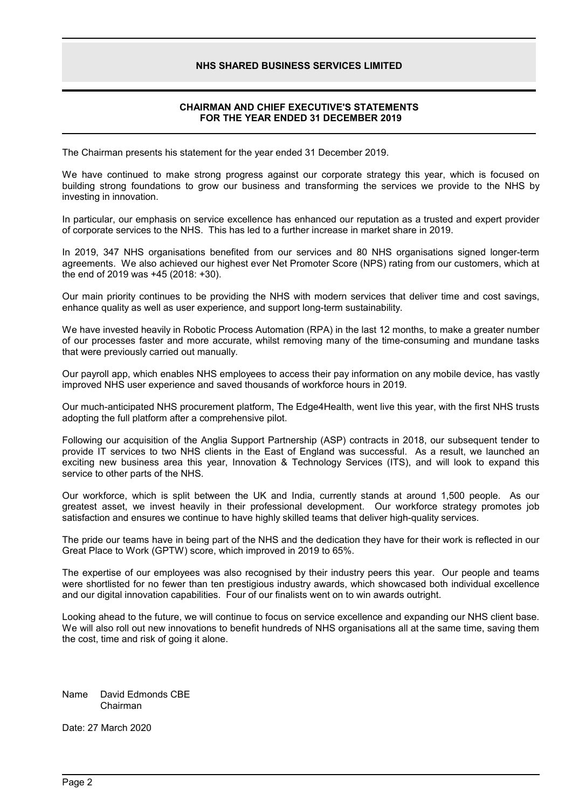# **CHAIRMAN AND CHIEF EXECUTIVE'S STATEMENTS FOR THE YEAR ENDED 31 DECEMBER 2019**

The Chairman presents his statement for the year ended 31 December 2019.

We have continued to make strong progress against our corporate strategy this year, which is focused on building strong foundations to grow our business and transforming the services we provide to the NHS by investing in innovation.

In particular, our emphasis on service excellence has enhanced our reputation as a trusted and expert provider of corporate services to the NHS. This has led to a further increase in market share in 2019.

In 2019, 347 NHS organisations benefited from our services and 80 NHS organisations signed longer-term agreements. We also achieved our highest ever Net Promoter Score (NPS) rating from our customers, which at the end of 2019 was +45 (2018: +30).

Our main priority continues to be providing the NHS with modern services that deliver time and cost savings, enhance quality as well as user experience, and support long-term sustainability.

We have invested heavily in Robotic Process Automation (RPA) in the last 12 months, to make a greater number of our processes faster and more accurate, whilst removing many of the time-consuming and mundane tasks that were previously carried out manually.

Our payroll app, which enables NHS employees to access their pay information on any mobile device, has vastly improved NHS user experience and saved thousands of workforce hours in 2019.

Our much-anticipated NHS procurement platform, The Edge4Health, went live this year, with the first NHS trusts adopting the full platform after a comprehensive pilot.

Following our acquisition of the Anglia Support Partnership (ASP) contracts in 2018, our subsequent tender to provide IT services to two NHS clients in the East of England was successful. As a result, we launched an exciting new business area this year, Innovation & Technology Services (ITS), and will look to expand this service to other parts of the NHS.

Our workforce, which is split between the UK and India, currently stands at around 1,500 people. As our greatest asset, we invest heavily in their professional development. Our workforce strategy promotes job satisfaction and ensures we continue to have highly skilled teams that deliver high-quality services.

The pride our teams have in being part of the NHS and the dedication they have for their work is reflected in our Great Place to Work (GPTW) score, which improved in 2019 to 65%.

The expertise of our employees was also recognised by their industry peers this year. Our people and teams were shortlisted for no fewer than ten prestigious industry awards, which showcased both individual excellence and our digital innovation capabilities. Four of our finalists went on to win awards outright.

Looking ahead to the future, we will continue to focus on service excellence and expanding our NHS client base. We will also roll out new innovations to benefit hundreds of NHS organisations all at the same time, saving them the cost, time and risk of going it alone.

Name David Edmonds CBE Chairman

Date: 27 March 2020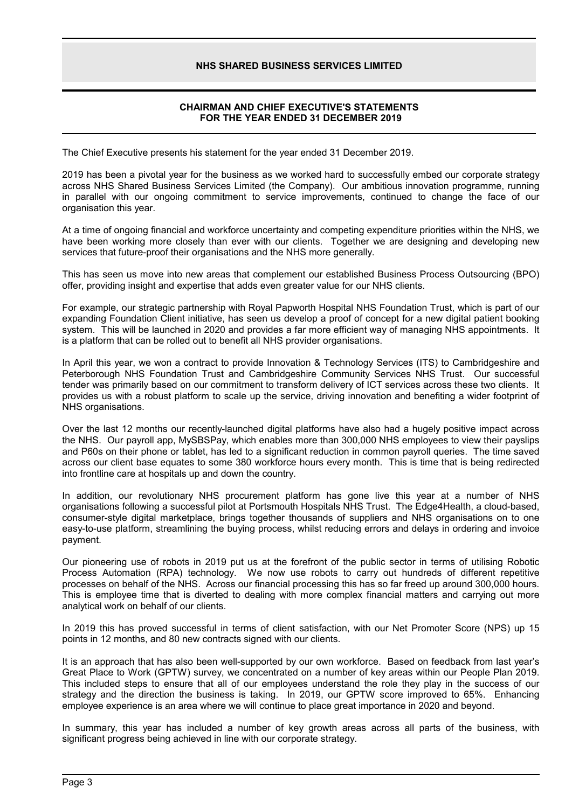# **CHAIRMAN AND CHIEF EXECUTIVE'S STATEMENTS FOR THE YEAR ENDED 31 DECEMBER 2019**

The Chief Executive presents his statement for the year ended 31 December 2019.

2019 has been a pivotal year for the business as we worked hard to successfully embed our corporate strategy across NHS Shared Business Services Limited (the Company). Our ambitious innovation programme, running in parallel with our ongoing commitment to service improvements, continued to change the face of our organisation this year.

At a time of ongoing financial and workforce uncertainty and competing expenditure priorities within the NHS, we have been working more closely than ever with our clients. Together we are designing and developing new services that future-proof their organisations and the NHS more generally.

This has seen us move into new areas that complement our established Business Process Outsourcing (BPO) offer, providing insight and expertise that adds even greater value for our NHS clients.

For example, our strategic partnership with Royal Papworth Hospital NHS Foundation Trust, which is part of our expanding Foundation Client initiative, has seen us develop a proof of concept for a new digital patient booking system. This will be launched in 2020 and provides a far more efficient way of managing NHS appointments. It is a platform that can be rolled out to benefit all NHS provider organisations.

In April this year, we won a contract to provide Innovation & Technology Services (ITS) to Cambridgeshire and Peterborough NHS Foundation Trust and Cambridgeshire Community Services NHS Trust. Our successful tender was primarily based on our commitment to transform delivery of ICT services across these two clients. It provides us with a robust platform to scale up the service, driving innovation and benefiting a wider footprint of NHS organisations.

Over the last 12 months our recently-launched digital platforms have also had a hugely positive impact across the NHS. Our payroll app, MySBSPay, which enables more than 300,000 NHS employees to view their payslips and P60s on their phone or tablet, has led to a significant reduction in common payroll queries. The time saved across our client base equates to some 380 workforce hours every month. This is time that is being redirected into frontline care at hospitals up and down the country.

In addition, our revolutionary NHS procurement platform has gone live this year at a number of NHS organisations following a successful pilot at Portsmouth Hospitals NHS Trust. The Edge4Health, a cloud-based, consumer-style digital marketplace, brings together thousands of suppliers and NHS organisations on to one easy-to-use platform, streamlining the buying process, whilst reducing errors and delays in ordering and invoice payment.

Our pioneering use of robots in 2019 put us at the forefront of the public sector in terms of utilising Robotic Process Automation (RPA) technology. We now use robots to carry out hundreds of different repetitive processes on behalf of the NHS. Across our financial processing this has so far freed up around 300,000 hours. This is employee time that is diverted to dealing with more complex financial matters and carrying out more analytical work on behalf of our clients.

In 2019 this has proved successful in terms of client satisfaction, with our Net Promoter Score (NPS) up 15 points in 12 months, and 80 new contracts signed with our clients.

It is an approach that has also been well-supported by our own workforce. Based on feedback from last year's Great Place to Work (GPTW) survey, we concentrated on a number of key areas within our People Plan 2019. This included steps to ensure that all of our employees understand the role they play in the success of our strategy and the direction the business is taking. In 2019, our GPTW score improved to 65%. Enhancing employee experience is an area where we will continue to place great importance in 2020 and beyond.

In summary, this year has included a number of key growth areas across all parts of the business, with significant progress being achieved in line with our corporate strategy.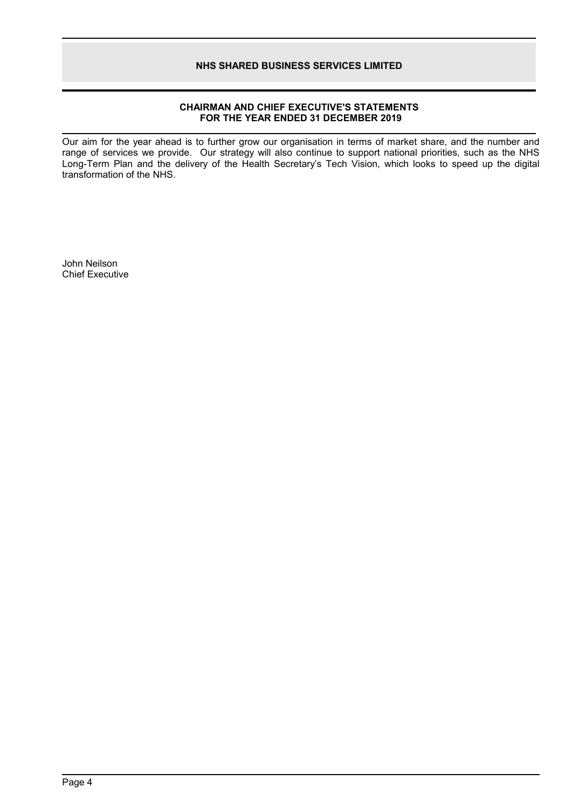# **CHAIRMAN AND CHIEF EXECUTIVE'S STATEMENTS FOR THE YEAR ENDED 31 DECEMBER 2019**

Our aim for the year ahead is to further grow our organisation in terms of market share, and the number and range of services we provide. Our strategy will also continue to support national priorities, such as the NHS Long-Term Plan and the delivery of the Health Secretary's Tech Vision, which looks to speed up the digital transformation of the NHS.

John Neilson Chief Executive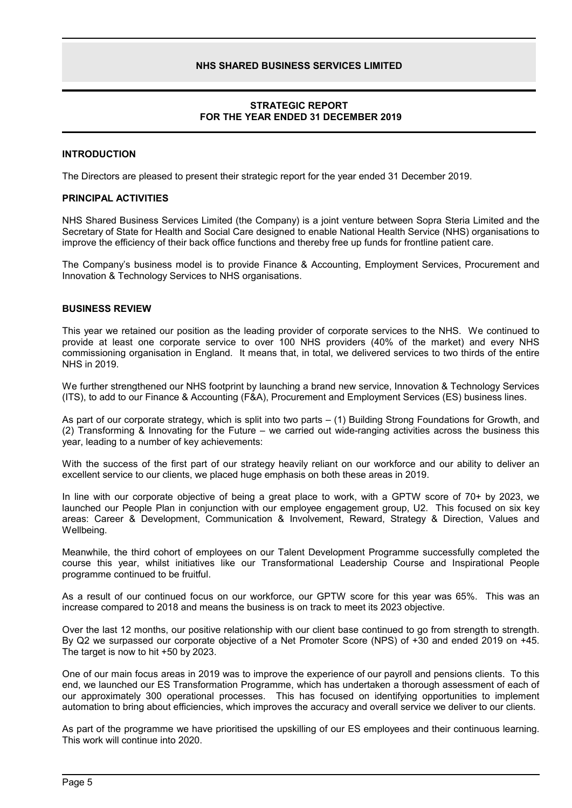# **STRATEGIC REPORT FOR THE YEAR ENDED 31 DECEMBER 2019**

# **INTRODUCTION**

The Directors are pleased to present their strategic report for the year ended 31 December 2019.

# **PRINCIPAL ACTIVITIES**

NHS Shared Business Services Limited (the Company) is a joint venture between Sopra Steria Limited and the Secretary of State for Health and Social Care designed to enable National Health Service (NHS) organisations to improve the efficiency of their back office functions and thereby free up funds for frontline patient care.

The Company's business model is to provide Finance & Accounting, Employment Services, Procurement and Innovation & Technology Services to NHS organisations.

# **BUSINESS REVIEW**

This year we retained our position as the leading provider of corporate services to the NHS. We continued to provide at least one corporate service to over 100 NHS providers (40% of the market) and every NHS commissioning organisation in England. It means that, in total, we delivered services to two thirds of the entire NHS in 2019.

We further strengthened our NHS footprint by launching a brand new service, Innovation & Technology Services (ITS), to add to our Finance & Accounting (F&A), Procurement and Employment Services (ES) business lines.

As part of our corporate strategy, which is split into two parts – (1) Building Strong Foundations for Growth, and (2) Transforming & Innovating for the Future – we carried out wide-ranging activities across the business this year, leading to a number of key achievements:

With the success of the first part of our strategy heavily reliant on our workforce and our ability to deliver an excellent service to our clients, we placed huge emphasis on both these areas in 2019.

In line with our corporate objective of being a great place to work, with a GPTW score of 70+ by 2023, we launched our People Plan in conjunction with our employee engagement group, U2. This focused on six key areas: Career & Development, Communication & Involvement, Reward, Strategy & Direction, Values and Wellbeing.

Meanwhile, the third cohort of employees on our Talent Development Programme successfully completed the course this year, whilst initiatives like our Transformational Leadership Course and Inspirational People programme continued to be fruitful.

As a result of our continued focus on our workforce, our GPTW score for this year was 65%. This was an increase compared to 2018 and means the business is on track to meet its 2023 objective.

Over the last 12 months, our positive relationship with our client base continued to go from strength to strength. By Q2 we surpassed our corporate objective of a Net Promoter Score (NPS) of +30 and ended 2019 on +45. The target is now to hit +50 by 2023.

One of our main focus areas in 2019 was to improve the experience of our payroll and pensions clients. To this end, we launched our ES Transformation Programme, which has undertaken a thorough assessment of each of our approximately 300 operational processes. This has focused on identifying opportunities to implement automation to bring about efficiencies, which improves the accuracy and overall service we deliver to our clients.

As part of the programme we have prioritised the upskilling of our ES employees and their continuous learning. This work will continue into 2020.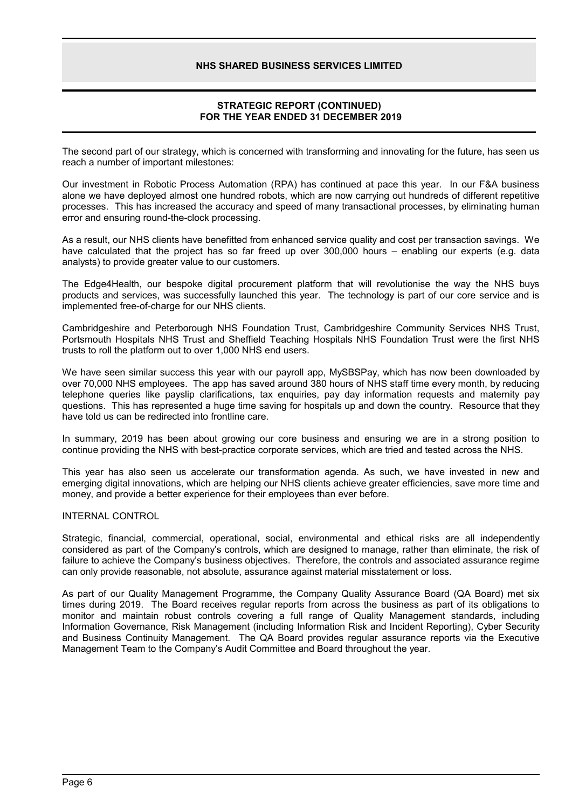# **STRATEGIC REPORT (CONTINUED) FOR THE YEAR ENDED 31 DECEMBER 2019**

The second part of our strategy, which is concerned with transforming and innovating for the future, has seen us reach a number of important milestones:

Our investment in Robotic Process Automation (RPA) has continued at pace this year. In our F&A business alone we have deployed almost one hundred robots, which are now carrying out hundreds of different repetitive processes. This has increased the accuracy and speed of many transactional processes, by eliminating human error and ensuring round-the-clock processing.

As a result, our NHS clients have benefitted from enhanced service quality and cost per transaction savings. We have calculated that the project has so far freed up over 300,000 hours – enabling our experts (e.g. data analysts) to provide greater value to our customers.

The Edge4Health, our bespoke digital procurement platform that will revolutionise the way the NHS buys products and services, was successfully launched this year. The technology is part of our core service and is implemented free-of-charge for our NHS clients.

Cambridgeshire and Peterborough NHS Foundation Trust, Cambridgeshire Community Services NHS Trust, Portsmouth Hospitals NHS Trust and Sheffield Teaching Hospitals NHS Foundation Trust were the first NHS trusts to roll the platform out to over 1,000 NHS end users.

We have seen similar success this year with our payroll app, MySBSPay, which has now been downloaded by over 70,000 NHS employees. The app has saved around 380 hours of NHS staff time every month, by reducing telephone queries like payslip clarifications, tax enquiries, pay day information requests and maternity pay questions. This has represented a huge time saving for hospitals up and down the country. Resource that they have told us can be redirected into frontline care.

In summary, 2019 has been about growing our core business and ensuring we are in a strong position to continue providing the NHS with best-practice corporate services, which are tried and tested across the NHS.

This year has also seen us accelerate our transformation agenda. As such, we have invested in new and emerging digital innovations, which are helping our NHS clients achieve greater efficiencies, save more time and money, and provide a better experience for their employees than ever before.

#### INTERNAL CONTROL

Strategic, financial, commercial, operational, social, environmental and ethical risks are all independently considered as part of the Company's controls, which are designed to manage, rather than eliminate, the risk of failure to achieve the Company's business objectives. Therefore, the controls and associated assurance regime can only provide reasonable, not absolute, assurance against material misstatement or loss.

As part of our Quality Management Programme, the Company Quality Assurance Board (QA Board) met six times during 2019. The Board receives regular reports from across the business as part of its obligations to monitor and maintain robust controls covering a full range of Quality Management standards, including Information Governance, Risk Management (including Information Risk and Incident Reporting), Cyber Security and Business Continuity Management. The QA Board provides regular assurance reports via the Executive Management Team to the Company's Audit Committee and Board throughout the year.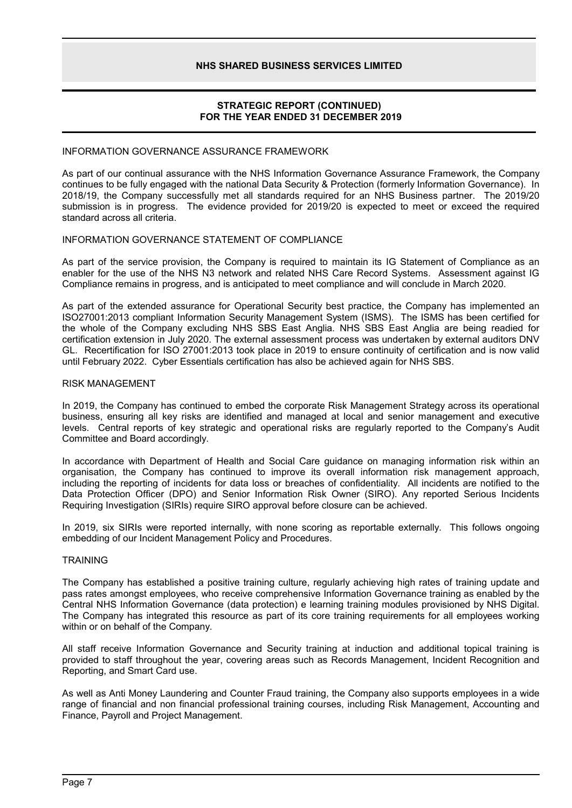# **STRATEGIC REPORT (CONTINUED) FOR THE YEAR ENDED 31 DECEMBER 2019**

# INFORMATION GOVERNANCE ASSURANCE FRAMEWORK

As part of our continual assurance with the NHS Information Governance Assurance Framework, the Company continues to be fully engaged with the national Data Security & Protection (formerly Information Governance). In 2018/19, the Company successfully met all standards required for an NHS Business partner. The 2019/20 submission is in progress. The evidence provided for 2019/20 is expected to meet or exceed the required standard across all criteria.

#### INFORMATION GOVERNANCE STATEMENT OF COMPLIANCE

As part of the service provision, the Company is required to maintain its IG Statement of Compliance as an enabler for the use of the NHS N3 network and related NHS Care Record Systems. Assessment against IG Compliance remains in progress, and is anticipated to meet compliance and will conclude in March 2020.

As part of the extended assurance for Operational Security best practice, the Company has implemented an ISO27001:2013 compliant Information Security Management System (ISMS). The ISMS has been certified for the whole of the Company excluding NHS SBS East Anglia. NHS SBS East Anglia are being readied for certification extension in July 2020. The external assessment process was undertaken by external auditors DNV GL. Recertification for ISO 27001:2013 took place in 2019 to ensure continuity of certification and is now valid until February 2022. Cyber Essentials certification has also be achieved again for NHS SBS.

# RISK MANAGEMENT

In 2019, the Company has continued to embed the corporate Risk Management Strategy across its operational business, ensuring all key risks are identified and managed at local and senior management and executive levels. Central reports of key strategic and operational risks are regularly reported to the Company's Audit Committee and Board accordingly.

In accordance with Department of Health and Social Care guidance on managing information risk within an organisation, the Company has continued to improve its overall information risk management approach, including the reporting of incidents for data loss or breaches of confidentiality. All incidents are notified to the Data Protection Officer (DPO) and Senior Information Risk Owner (SIRO). Any reported Serious Incidents Requiring Investigation (SIRIs) require SIRO approval before closure can be achieved.

In 2019, six SIRIs were reported internally, with none scoring as reportable externally. This follows ongoing embedding of our Incident Management Policy and Procedures.

# TRAINING

The Company has established a positive training culture, regularly achieving high rates of training update and pass rates amongst employees, who receive comprehensive Information Governance training as enabled by the Central NHS Information Governance (data protection) e learning training modules provisioned by NHS Digital. The Company has integrated this resource as part of its core training requirements for all employees working within or on behalf of the Company.

All staff receive Information Governance and Security training at induction and additional topical training is provided to staff throughout the year, covering areas such as Records Management, Incident Recognition and Reporting, and Smart Card use.

As well as Anti Money Laundering and Counter Fraud training, the Company also supports employees in a wide range of financial and non financial professional training courses, including Risk Management, Accounting and Finance, Payroll and Project Management.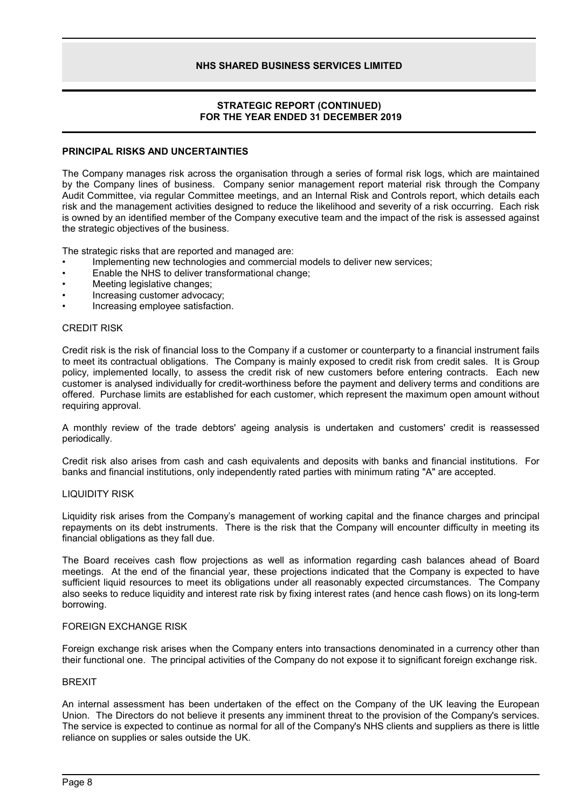# **STRATEGIC REPORT (CONTINUED) FOR THE YEAR ENDED 31 DECEMBER 2019**

# **PRINCIPAL RISKS AND UNCERTAINTIES**

The Company manages risk across the organisation through a series of formal risk logs, which are maintained by the Company lines of business. Company senior management report material risk through the Company Audit Committee, via regular Committee meetings, and an Internal Risk and Controls report, which details each risk and the management activities designed to reduce the likelihood and severity of a risk occurring. Each risk is owned by an identified member of the Company executive team and the impact of the risk is assessed against the strategic objectives of the business.

The strategic risks that are reported and managed are:

- Implementing new technologies and commercial models to deliver new services;
- Enable the NHS to deliver transformational change;
- Meeting legislative changes;
- Increasing customer advocacy;
- Increasing employee satisfaction.

#### CREDIT RISK

Credit risk is the risk of financial loss to the Company if a customer or counterparty to a financial instrument fails to meet its contractual obligations. The Company is mainly exposed to credit risk from credit sales. It is Group policy, implemented locally, to assess the credit risk of new customers before entering contracts. Each new customer is analysed individually for credit-worthiness before the payment and delivery terms and conditions are offered. Purchase limits are established for each customer, which represent the maximum open amount without requiring approval.

A monthly review of the trade debtors' ageing analysis is undertaken and customers' credit is reassessed periodically.

Credit risk also arises from cash and cash equivalents and deposits with banks and financial institutions. For banks and financial institutions, only independently rated parties with minimum rating "A" are accepted.

#### LIQUIDITY RISK

Liquidity risk arises from the Company's management of working capital and the finance charges and principal repayments on its debt instruments. There is the risk that the Company will encounter difficulty in meeting its financial obligations as they fall due.

The Board receives cash flow projections as well as information regarding cash balances ahead of Board meetings. At the end of the financial year, these projections indicated that the Company is expected to have sufficient liquid resources to meet its obligations under all reasonably expected circumstances. The Company also seeks to reduce liquidity and interest rate risk by fixing interest rates (and hence cash flows) on its long-term borrowing.

# FOREIGN EXCHANGE RISK

Foreign exchange risk arises when the Company enters into transactions denominated in a currency other than their functional one. The principal activities of the Company do not expose it to significant foreign exchange risk.

#### BREXIT

An internal assessment has been undertaken of the effect on the Company of the UK leaving the European Union. The Directors do not believe it presents any imminent threat to the provision of the Company's services. The service is expected to continue as normal for all of the Company's NHS clients and suppliers as there is little reliance on supplies or sales outside the UK.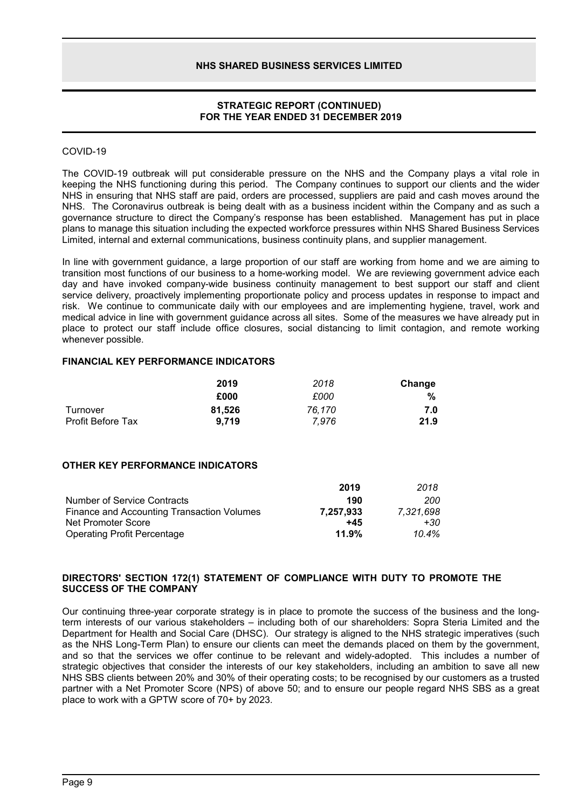# **STRATEGIC REPORT (CONTINUED) FOR THE YEAR ENDED 31 DECEMBER 2019**

# COVID-19

The COVID-19 outbreak will put considerable pressure on the NHS and the Company plays a vital role in keeping the NHS functioning during this period. The Company continues to support our clients and the wider NHS in ensuring that NHS staff are paid, orders are processed, suppliers are paid and cash moves around the NHS. The Coronavirus outbreak is being dealt with as a business incident within the Company and as such a governance structure to direct the Company's response has been established. Management has put in place plans to manage this situation including the expected workforce pressures within NHS Shared Business Services Limited, internal and external communications, business continuity plans, and supplier management.

In line with government guidance, a large proportion of our staff are working from home and we are aiming to transition most functions of our business to a home-working model. We are reviewing government advice each day and have invoked company-wide business continuity management to best support our staff and client service delivery, proactively implementing proportionate policy and process updates in response to impact and risk. We continue to communicate daily with our employees and are implementing hygiene, travel, work and medical advice in line with government guidance across all sites. Some of the measures we have already put in place to protect our staff include office closures, social distancing to limit contagion, and remote working whenever possible.

# **FINANCIAL KEY PERFORMANCE INDICATORS**

|                          | 2019   | 2018   | Change |
|--------------------------|--------|--------|--------|
|                          | £000   | £000   | %      |
| Turnover                 | 81.526 | 76.170 | 7.0    |
| <b>Profit Before Tax</b> | 9.719  | 7.976  | 21.9   |

# **OTHER KEY PERFORMANCE INDICATORS**

|                                            | 2019      | 2018      |
|--------------------------------------------|-----------|-----------|
| Number of Service Contracts                | 190       | 200       |
| Finance and Accounting Transaction Volumes | 7.257.933 | 7.321.698 |
| Net Promoter Score                         | +45       | +30       |
| <b>Operating Profit Percentage</b>         | 11.9%     | 10.4%     |

# **DIRECTORS' SECTION 172(1) STATEMENT OF COMPLIANCE WITH DUTY TO PROMOTE THE SUCCESS OF THE COMPANY**

Our continuing three-year corporate strategy is in place to promote the success of the business and the longterm interests of our various stakeholders – including both of our shareholders: Sopra Steria Limited and the Department for Health and Social Care (DHSC). Our strategy is aligned to the NHS strategic imperatives (such as the NHS Long-Term Plan) to ensure our clients can meet the demands placed on them by the government, and so that the services we offer continue to be relevant and widely-adopted. This includes a number of strategic objectives that consider the interests of our key stakeholders, including an ambition to save all new NHS SBS clients between 20% and 30% of their operating costs; to be recognised by our customers as a trusted partner with a Net Promoter Score (NPS) of above 50; and to ensure our people regard NHS SBS as a great place to work with a GPTW score of 70+ by 2023.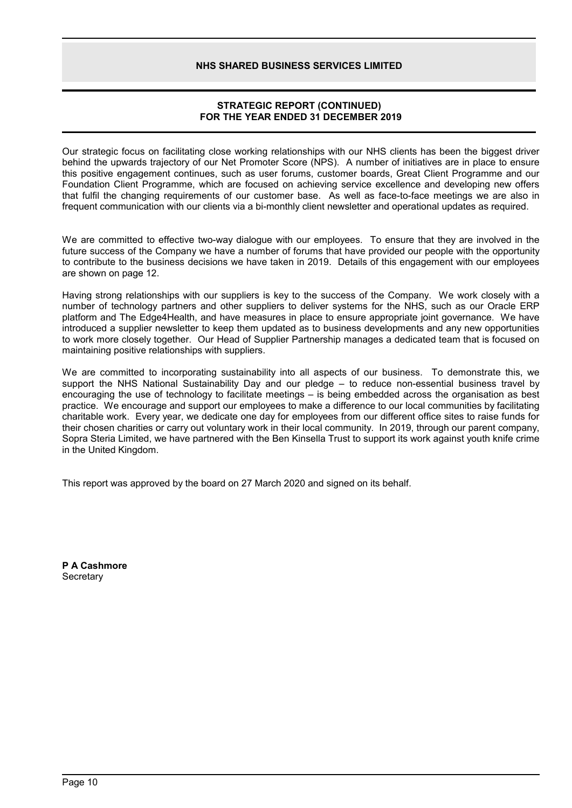# **STRATEGIC REPORT (CONTINUED) FOR THE YEAR ENDED 31 DECEMBER 2019**

Our strategic focus on facilitating close working relationships with our NHS clients has been the biggest driver behind the upwards trajectory of our Net Promoter Score (NPS). A number of initiatives are in place to ensure this positive engagement continues, such as user forums, customer boards, Great Client Programme and our Foundation Client Programme, which are focused on achieving service excellence and developing new offers that fulfil the changing requirements of our customer base. As well as face-to-face meetings we are also in frequent communication with our clients via a bi-monthly client newsletter and operational updates as required.

We are committed to effective two-way dialogue with our employees. To ensure that they are involved in the future success of the Company we have a number of forums that have provided our people with the opportunity to contribute to the business decisions we have taken in 2019. Details of this engagement with our employees are shown on page 12.

Having strong relationships with our suppliers is key to the success of the Company. We work closely with a number of technology partners and other suppliers to deliver systems for the NHS, such as our Oracle ERP platform and The Edge4Health, and have measures in place to ensure appropriate joint governance. We have introduced a supplier newsletter to keep them updated as to business developments and any new opportunities to work more closely together. Our Head of Supplier Partnership manages a dedicated team that is focused on maintaining positive relationships with suppliers.

We are committed to incorporating sustainability into all aspects of our business. To demonstrate this, we support the NHS National Sustainability Day and our pledge – to reduce non-essential business travel by encouraging the use of technology to facilitate meetings – is being embedded across the organisation as best practice. We encourage and support our employees to make a difference to our local communities by facilitating charitable work. Every year, we dedicate one day for employees from our different office sites to raise funds for their chosen charities or carry out voluntary work in their local community. In 2019, through our parent company, Sopra Steria Limited, we have partnered with the Ben Kinsella Trust to support its work against youth knife crime in the United Kingdom.

This report was approved by the board on 27 March 2020 and signed on its behalf.

**P A Cashmore Secretary**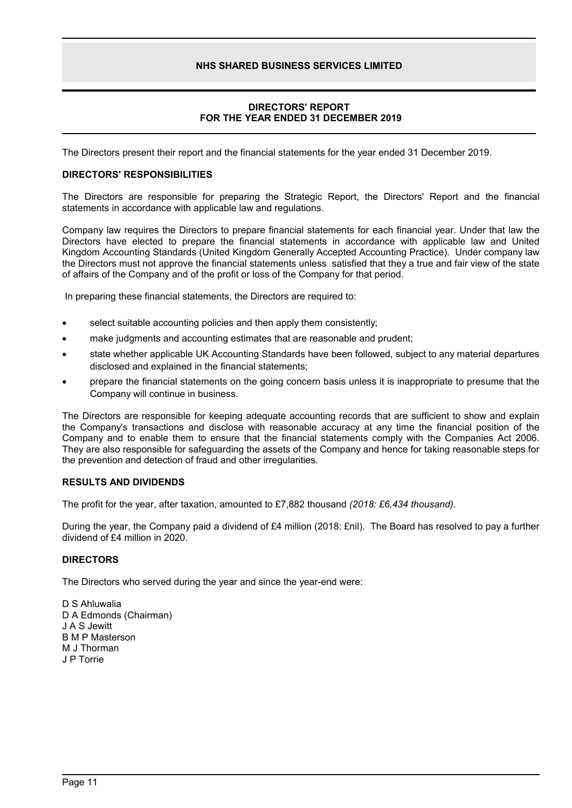# **DIRECTORS' REPORT FOR THE YEAR ENDED 31 DECEMBER 2019**

The Directors present their report and the financial statements for the year ended 31 December 2019.

# **DIRECTORS' RESPONSIBILITIES**

The Directors are responsible for preparing the Strategic Report, the Directors' Report and the financial statements in accordance with applicable law and regulations.

Company law requires the Directors to prepare financial statements for each financial year. Under that law the Directors have elected to prepare the financial statements in accordance with applicable law and United Kingdom Accounting Standards (United Kingdom Generally Accepted Accounting Practice). Under company law the Directors must not approve the financial statements unless satisfied that they a true and fair view of the state of affairs of the Company and of the profit or loss of the Company for that period.

In preparing these financial statements, the Directors are required to:

- select suitable accounting policies and then apply them consistently;
- make judgments and accounting estimates that are reasonable and prudent;
- state whether applicable UK Accounting Standards have been followed, subject to any material departures disclosed and explained in the financial statements;
- prepare the financial statements on the going concern basis unless it is inappropriate to presume that the Company will continue in business.

The Directors are responsible for keeping adequate accounting records that are sufficient to show and explain the Company's transactions and disclose with reasonable accuracy at any time the financial position of the Company and to enable them to ensure that the financial statements comply with the Companies Act 2006. They are also responsible for safeguarding the assets of the Company and hence for taking reasonable steps for the prevention and detection of fraud and other irregularities.

# **RESULTS AND DIVIDENDS**

The profit for the year, after taxation, amounted to £7,882 thousand *(2018: £6,434 thousand)*.

During the year, the Company paid a dividend of £4 million (2018: £nil). The Board has resolved to pay a further dividend of £4 million in 2020.

#### **DIRECTORS**

The Directors who served during the year and since the year-end were:

D S Ahluwalia D A Edmonds (Chairman) J A S Jewitt B M P Masterson M J Thorman J P Torrie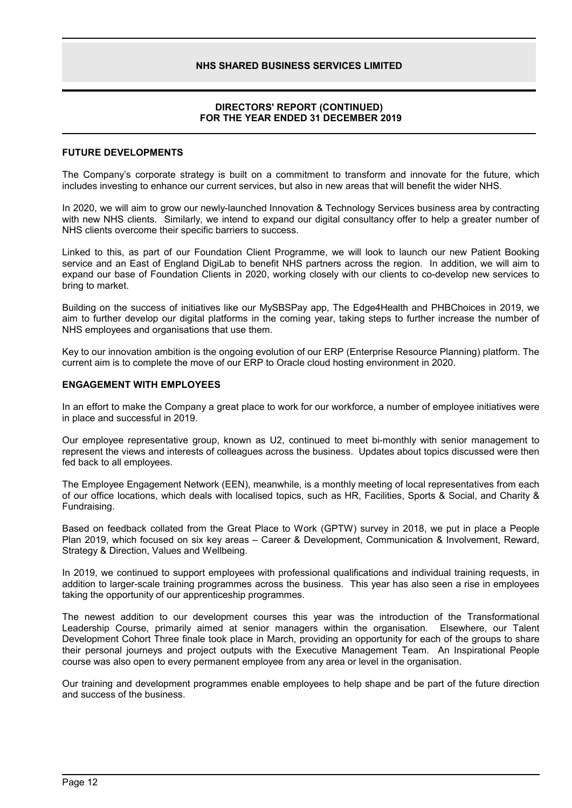# **DIRECTORS' REPORT (CONTINUED) FOR THE YEAR ENDED 31 DECEMBER 2019**

# **FUTURE DEVELOPMENTS**

The Company's corporate strategy is built on a commitment to transform and innovate for the future, which includes investing to enhance our current services, but also in new areas that will benefit the wider NHS.

In 2020, we will aim to grow our newly-launched Innovation & Technology Services business area by contracting with new NHS clients. Similarly, we intend to expand our digital consultancy offer to help a greater number of NHS clients overcome their specific barriers to success.

Linked to this, as part of our Foundation Client Programme, we will look to launch our new Patient Booking service and an East of England DigiLab to benefit NHS partners across the region. In addition, we will aim to expand our base of Foundation Clients in 2020, working closely with our clients to co-develop new services to bring to market.

Building on the success of initiatives like our MySBSPay app, The Edge4Health and PHBChoices in 2019, we aim to further develop our digital platforms in the coming year, taking steps to further increase the number of NHS employees and organisations that use them.

Key to our innovation ambition is the ongoing evolution of our ERP (Enterprise Resource Planning) platform. The current aim is to complete the move of our ERP to Oracle cloud hosting environment in 2020.

#### **ENGAGEMENT WITH EMPLOYEES**

In an effort to make the Company a great place to work for our workforce, a number of employee initiatives were in place and successful in 2019.

Our employee representative group, known as U2, continued to meet bi-monthly with senior management to represent the views and interests of colleagues across the business. Updates about topics discussed were then fed back to all employees.

The Employee Engagement Network (EEN), meanwhile, is a monthly meeting of local representatives from each of our office locations, which deals with localised topics, such as HR, Facilities, Sports & Social, and Charity & Fundraising.

Based on feedback collated from the Great Place to Work (GPTW) survey in 2018, we put in place a People Plan 2019, which focused on six key areas – Career & Development, Communication & Involvement, Reward, Strategy & Direction, Values and Wellbeing.

In 2019, we continued to support employees with professional qualifications and individual training requests, in addition to larger-scale training programmes across the business. This year has also seen a rise in employees taking the opportunity of our apprenticeship programmes.

The newest addition to our development courses this year was the introduction of the Transformational Leadership Course, primarily aimed at senior managers within the organisation. Elsewhere, our Talent Development Cohort Three finale took place in March, providing an opportunity for each of the groups to share their personal journeys and project outputs with the Executive Management Team. An Inspirational People course was also open to every permanent employee from any area or level in the organisation.

Our training and development programmes enable employees to help shape and be part of the future direction and success of the business.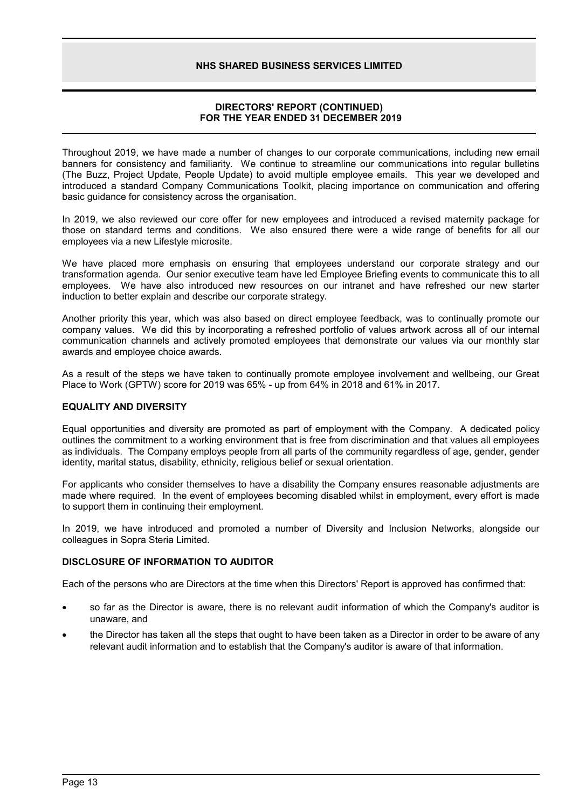# **DIRECTORS' REPORT (CONTINUED) FOR THE YEAR ENDED 31 DECEMBER 2019**

Throughout 2019, we have made a number of changes to our corporate communications, including new email banners for consistency and familiarity. We continue to streamline our communications into regular bulletins (The Buzz, Project Update, People Update) to avoid multiple employee emails. This year we developed and introduced a standard Company Communications Toolkit, placing importance on communication and offering basic guidance for consistency across the organisation.

In 2019, we also reviewed our core offer for new employees and introduced a revised maternity package for those on standard terms and conditions. We also ensured there were a wide range of benefits for all our employees via a new Lifestyle microsite.

We have placed more emphasis on ensuring that employees understand our corporate strategy and our transformation agenda. Our senior executive team have led Employee Briefing events to communicate this to all employees. We have also introduced new resources on our intranet and have refreshed our new starter induction to better explain and describe our corporate strategy.

Another priority this year, which was also based on direct employee feedback, was to continually promote our company values. We did this by incorporating a refreshed portfolio of values artwork across all of our internal communication channels and actively promoted employees that demonstrate our values via our monthly star awards and employee choice awards.

As a result of the steps we have taken to continually promote employee involvement and wellbeing, our Great Place to Work (GPTW) score for 2019 was 65% - up from 64% in 2018 and 61% in 2017.

# **EQUALITY AND DIVERSITY**

Equal opportunities and diversity are promoted as part of employment with the Company. A dedicated policy outlines the commitment to a working environment that is free from discrimination and that values all employees as individuals. The Company employs people from all parts of the community regardless of age, gender, gender identity, marital status, disability, ethnicity, religious belief or sexual orientation.

For applicants who consider themselves to have a disability the Company ensures reasonable adjustments are made where required. In the event of employees becoming disabled whilst in employment, every effort is made to support them in continuing their employment.

In 2019, we have introduced and promoted a number of Diversity and Inclusion Networks, alongside our colleagues in Sopra Steria Limited.

# **DISCLOSURE OF INFORMATION TO AUDITOR**

Each of the persons who are Directors at the time when this Directors' Report is approved has confirmed that:

- so far as the Director is aware, there is no relevant audit information of which the Company's auditor is unaware, and
- the Director has taken all the steps that ought to have been taken as a Director in order to be aware of any relevant audit information and to establish that the Company's auditor is aware of that information.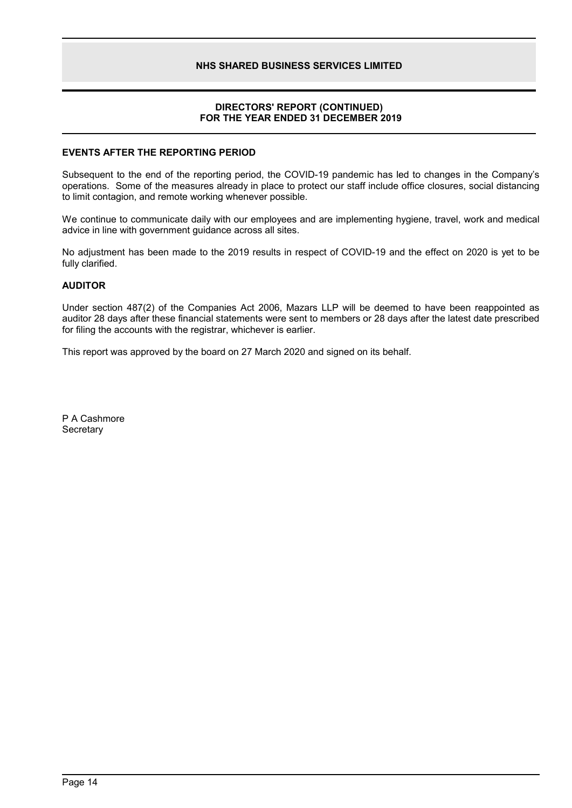# **DIRECTORS' REPORT (CONTINUED) FOR THE YEAR ENDED 31 DECEMBER 2019**

# **EVENTS AFTER THE REPORTING PERIOD**

Subsequent to the end of the reporting period, the COVID-19 pandemic has led to changes in the Company's operations. Some of the measures already in place to protect our staff include office closures, social distancing to limit contagion, and remote working whenever possible.

We continue to communicate daily with our employees and are implementing hygiene, travel, work and medical advice in line with government guidance across all sites.

No adjustment has been made to the 2019 results in respect of COVID-19 and the effect on 2020 is yet to be fully clarified.

# **AUDITOR**

Under section 487(2) of the Companies Act 2006, Mazars LLP will be deemed to have been reappointed as auditor 28 days after these financial statements were sent to members or 28 days after the latest date prescribed for filing the accounts with the registrar, whichever is earlier.

This report was approved by the board on 27 March 2020 and signed on its behalf.

P A Cashmore **Secretary**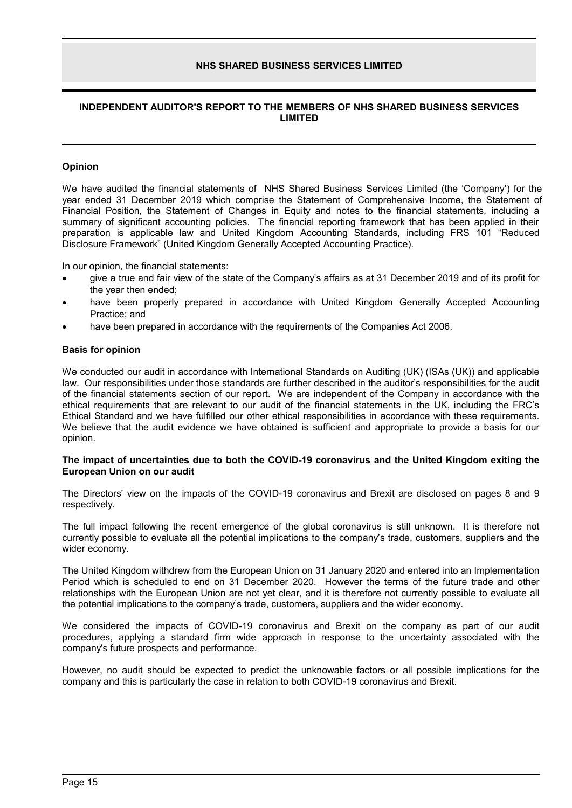# **INDEPENDENT AUDITOR'S REPORT TO THE MEMBERS OF NHS SHARED BUSINESS SERVICES LIMITED**

# **Opinion**

We have audited the financial statements of NHS Shared Business Services Limited (the 'Company') for the year ended 31 December 2019 which comprise the Statement of Comprehensive Income, the Statement of Financial Position, the Statement of Changes in Equity and notes to the financial statements, including a summary of significant accounting policies. The financial reporting framework that has been applied in their preparation is applicable law and United Kingdom Accounting Standards, including FRS 101 "Reduced Disclosure Framework" (United Kingdom Generally Accepted Accounting Practice).

In our opinion, the financial statements:

- give a true and fair view of the state of the Company's affairs as at 31 December 2019 and of its profit for the year then ended;
- have been properly prepared in accordance with United Kingdom Generally Accepted Accounting Practice; and
- have been prepared in accordance with the requirements of the Companies Act 2006.

#### **Basis for opinion**

We conducted our audit in accordance with International Standards on Auditing (UK) (ISAs (UK)) and applicable law. Our responsibilities under those standards are further described in the auditor's responsibilities for the audit of the financial statements section of our report. We are independent of the Company in accordance with the ethical requirements that are relevant to our audit of the financial statements in the UK, including the FRC's Ethical Standard and we have fulfilled our other ethical responsibilities in accordance with these requirements. We believe that the audit evidence we have obtained is sufficient and appropriate to provide a basis for our opinion.

#### **The impact of uncertainties due to both the COVID-19 coronavirus and the United Kingdom exiting the European Union on our audit**

The Directors' view on the impacts of the COVID-19 coronavirus and Brexit are disclosed on pages 8 and 9 respectively.

The full impact following the recent emergence of the global coronavirus is still unknown. It is therefore not currently possible to evaluate all the potential implications to the company's trade, customers, suppliers and the wider economy.

The United Kingdom withdrew from the European Union on 31 January 2020 and entered into an Implementation Period which is scheduled to end on 31 December 2020. However the terms of the future trade and other relationships with the European Union are not yet clear, and it is therefore not currently possible to evaluate all the potential implications to the company's trade, customers, suppliers and the wider economy.

We considered the impacts of COVID-19 coronavirus and Brexit on the company as part of our audit procedures, applying a standard firm wide approach in response to the uncertainty associated with the company's future prospects and performance.

However, no audit should be expected to predict the unknowable factors or all possible implications for the company and this is particularly the case in relation to both COVID-19 coronavirus and Brexit.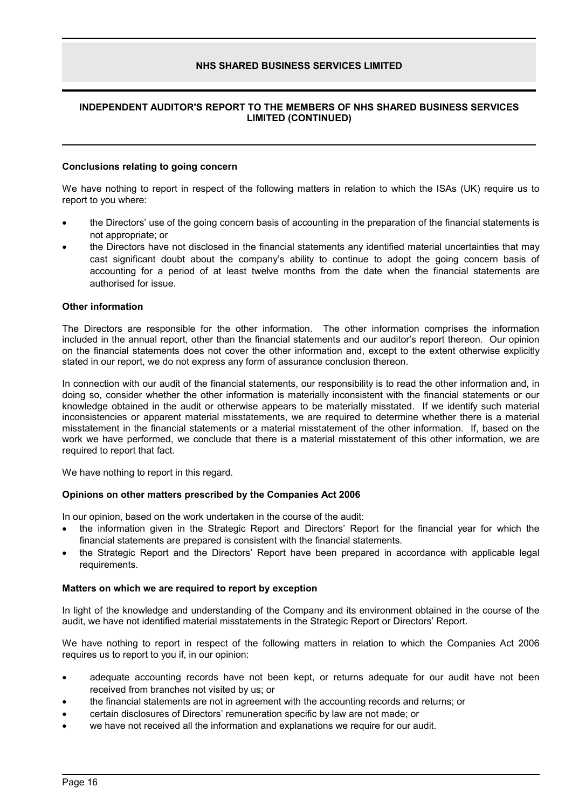# **INDEPENDENT AUDITOR'S REPORT TO THE MEMBERS OF NHS SHARED BUSINESS SERVICES LIMITED (CONTINUED)**

# **Conclusions relating to going concern**

We have nothing to report in respect of the following matters in relation to which the ISAs (UK) require us to report to you where:

- the Directors' use of the going concern basis of accounting in the preparation of the financial statements is not appropriate; or
- the Directors have not disclosed in the financial statements any identified material uncertainties that may cast significant doubt about the company's ability to continue to adopt the going concern basis of accounting for a period of at least twelve months from the date when the financial statements are authorised for issue.

# **Other information**

The Directors are responsible for the other information. The other information comprises the information included in the annual report, other than the financial statements and our auditor's report thereon. Our opinion on the financial statements does not cover the other information and, except to the extent otherwise explicitly stated in our report, we do not express any form of assurance conclusion thereon.

In connection with our audit of the financial statements, our responsibility is to read the other information and, in doing so, consider whether the other information is materially inconsistent with the financial statements or our knowledge obtained in the audit or otherwise appears to be materially misstated. If we identify such material inconsistencies or apparent material misstatements, we are required to determine whether there is a material misstatement in the financial statements or a material misstatement of the other information. If, based on the work we have performed, we conclude that there is a material misstatement of this other information, we are required to report that fact.

We have nothing to report in this regard.

#### **Opinions on other matters prescribed by the Companies Act 2006**

In our opinion, based on the work undertaken in the course of the audit:

- the information given in the Strategic Report and Directors' Report for the financial year for which the financial statements are prepared is consistent with the financial statements.
- the Strategic Report and the Directors' Report have been prepared in accordance with applicable legal requirements.

#### **Matters on which we are required to report by exception**

In light of the knowledge and understanding of the Company and its environment obtained in the course of the audit, we have not identified material misstatements in the Strategic Report or Directors' Report.

We have nothing to report in respect of the following matters in relation to which the Companies Act 2006 requires us to report to you if, in our opinion:

- adequate accounting records have not been kept, or returns adequate for our audit have not been received from branches not visited by us; or
- the financial statements are not in agreement with the accounting records and returns; or
- certain disclosures of Directors' remuneration specific by law are not made; or
- we have not received all the information and explanations we require for our audit.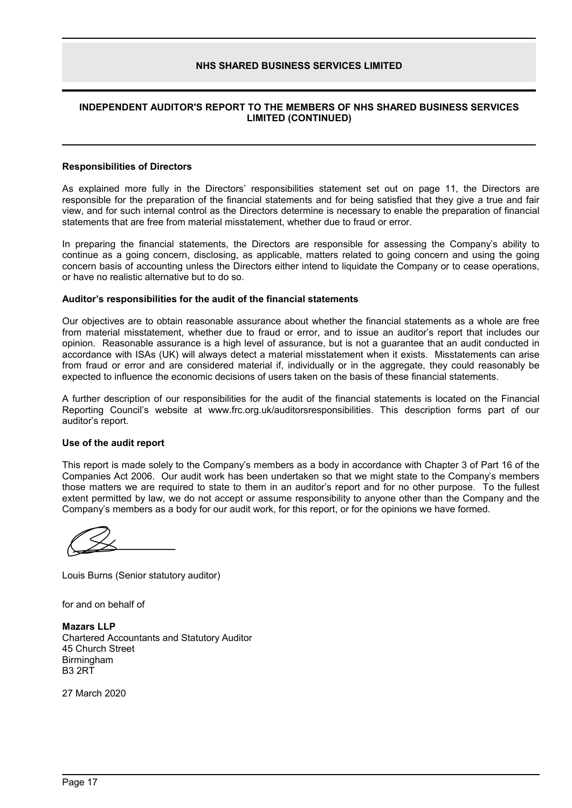# **INDEPENDENT AUDITOR'S REPORT TO THE MEMBERS OF NHS SHARED BUSINESS SERVICES LIMITED (CONTINUED)**

#### **Responsibilities of Directors**

As explained more fully in the Directors' responsibilities statement set out on page 11, the Directors are responsible for the preparation of the financial statements and for being satisfied that they give a true and fair view, and for such internal control as the Directors determine is necessary to enable the preparation of financial statements that are free from material misstatement, whether due to fraud or error.

In preparing the financial statements, the Directors are responsible for assessing the Company's ability to continue as a going concern, disclosing, as applicable, matters related to going concern and using the going concern basis of accounting unless the Directors either intend to liquidate the Company or to cease operations, or have no realistic alternative but to do so.

#### **Auditor's responsibilities for the audit of the financial statements**

Our objectives are to obtain reasonable assurance about whether the financial statements as a whole are free from material misstatement, whether due to fraud or error, and to issue an auditor's report that includes our opinion. Reasonable assurance is a high level of assurance, but is not a guarantee that an audit conducted in accordance with ISAs (UK) will always detect a material misstatement when it exists. Misstatements can arise from fraud or error and are considered material if, individually or in the aggregate, they could reasonably be expected to influence the economic decisions of users taken on the basis of these financial statements.

A further description of our responsibilities for the audit of the financial statements is located on the Financial Reporting Council's website at www.frc.org.uk/auditorsresponsibilities. This description forms part of our auditor's report.

#### **Use of the audit report**

This report is made solely to the Company's members as a body in accordance with Chapter 3 of Part 16 of the Companies Act 2006. Our audit work has been undertaken so that we might state to the Company's members those matters we are required to state to them in an auditor's report and for no other purpose. To the fullest extent permitted by law, we do not accept or assume responsibility to anyone other than the Company and the Company's members as a body for our audit work, for this report, or for the opinions we have formed.

Louis Burns (Senior statutory auditor)

for and on behalf of

**Mazars LLP** Chartered Accountants and Statutory Auditor 45 Church Street Birmingham B3 2RT

27 March 2020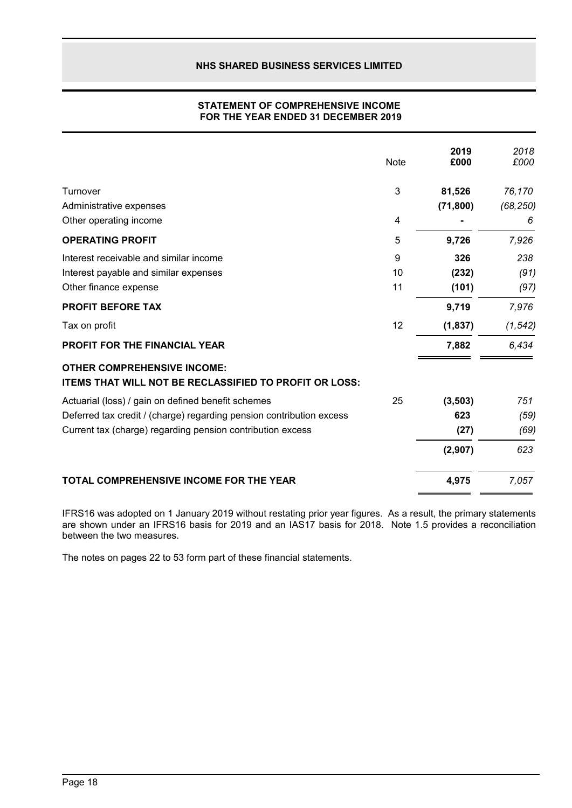# **STATEMENT OF COMPREHENSIVE INCOME FOR THE YEAR ENDED 31 DECEMBER 2019**

|                                                                                              | <b>Note</b> | 2019<br>£000 | 2018<br>£000 |
|----------------------------------------------------------------------------------------------|-------------|--------------|--------------|
| Turnover                                                                                     | 3           | 81,526       | 76,170       |
| Administrative expenses                                                                      |             | (71, 800)    | (68, 250)    |
| Other operating income                                                                       | 4           |              | 6            |
| <b>OPERATING PROFIT</b>                                                                      | 5           | 9,726        | 7,926        |
| Interest receivable and similar income                                                       | 9           | 326          | 238          |
| Interest payable and similar expenses                                                        | 10          | (232)        | (91)         |
| Other finance expense                                                                        | 11          | (101)        | (97)         |
| <b>PROFIT BEFORE TAX</b>                                                                     |             | 9,719        | 7,976        |
| Tax on profit                                                                                | 12          | (1, 837)     | (1, 542)     |
| <b>PROFIT FOR THE FINANCIAL YEAR</b>                                                         |             | 7,882        | 6,434        |
| <b>OTHER COMPREHENSIVE INCOME:</b><br>ITEMS THAT WILL NOT BE RECLASSIFIED TO PROFIT OR LOSS: |             |              |              |
| Actuarial (loss) / gain on defined benefit schemes                                           | 25          | (3, 503)     | 751          |
| Deferred tax credit / (charge) regarding pension contribution excess                         |             | 623          | (59)         |
| Current tax (charge) regarding pension contribution excess                                   |             | (27)         | (69)         |
|                                                                                              |             | (2,907)      | 623          |
| TOTAL COMPREHENSIVE INCOME FOR THE YEAR                                                      |             | 4,975        | 7,057        |

IFRS16 was adopted on 1 January 2019 without restating prior year figures. As a result, the primary statements are shown under an IFRS16 basis for 2019 and an IAS17 basis for 2018. Note 1.5 provides a reconciliation between the two measures.

The notes on pages 22 to 53 form part of these financial statements.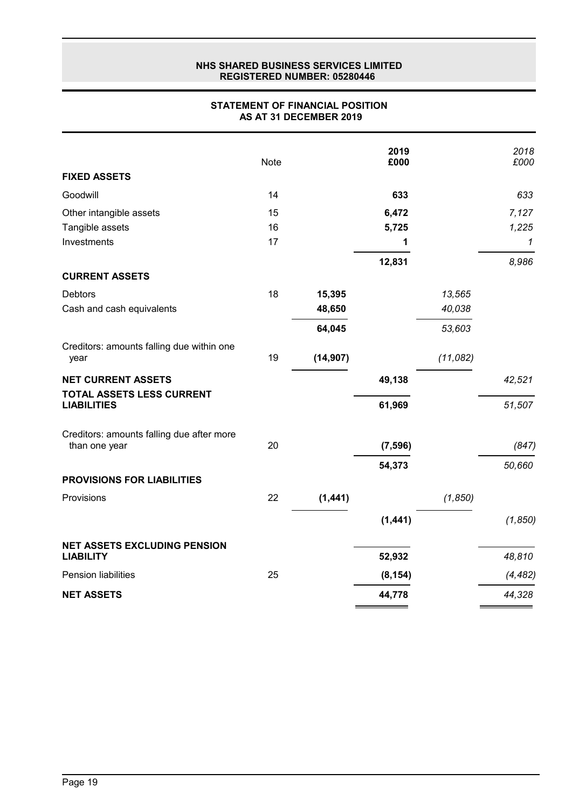# **NHS SHARED BUSINESS SERVICES LIMITED REGISTERED NUMBER: 05280446**

# **STATEMENT OF FINANCIAL POSITION AS AT 31 DECEMBER 2019**

|                                                            | <b>Note</b> |           | 2019<br>£000 |          | 2018<br>£000               |
|------------------------------------------------------------|-------------|-----------|--------------|----------|----------------------------|
| <b>FIXED ASSETS</b>                                        |             |           |              |          |                            |
| Goodwill                                                   | 14          |           | 633          |          | 633                        |
| Other intangible assets                                    | 15          |           | 6,472        |          | 7,127                      |
| Tangible assets                                            | 16          |           | 5,725        |          | 1,225                      |
| Investments                                                | 17          |           | 1            |          | $\boldsymbol{\mathcal{L}}$ |
|                                                            |             |           | 12,831       |          | 8,986                      |
| <b>CURRENT ASSETS</b>                                      |             |           |              |          |                            |
| <b>Debtors</b>                                             | 18          | 15,395    |              | 13,565   |                            |
| Cash and cash equivalents                                  |             | 48,650    |              | 40,038   |                            |
|                                                            |             | 64,045    |              | 53,603   |                            |
| Creditors: amounts falling due within one<br>year          | 19          | (14, 907) |              | (11,082) |                            |
| <b>NET CURRENT ASSETS</b>                                  |             |           | 49,138       |          | 42,521                     |
| TOTAL ASSETS LESS CURRENT<br><b>LIABILITIES</b>            |             |           | 61,969       |          | 51,507                     |
| Creditors: amounts falling due after more<br>than one year | 20          |           | (7, 596)     |          | (847)                      |
|                                                            |             |           | 54,373       |          | 50,660                     |
| <b>PROVISIONS FOR LIABILITIES</b>                          |             |           |              |          |                            |
| Provisions                                                 | 22          | (1, 441)  |              | (1, 850) |                            |
|                                                            |             |           | (1, 441)     |          | (1, 850)                   |
| <b>NET ASSETS EXCLUDING PENSION</b>                        |             |           |              |          |                            |
| <b>LIABILITY</b>                                           |             |           | 52,932       |          | 48,810                     |
| Pension liabilities                                        | 25          |           | (8, 154)     |          | (4, 482)                   |
| <b>NET ASSETS</b>                                          |             |           | 44,778       |          | 44,328                     |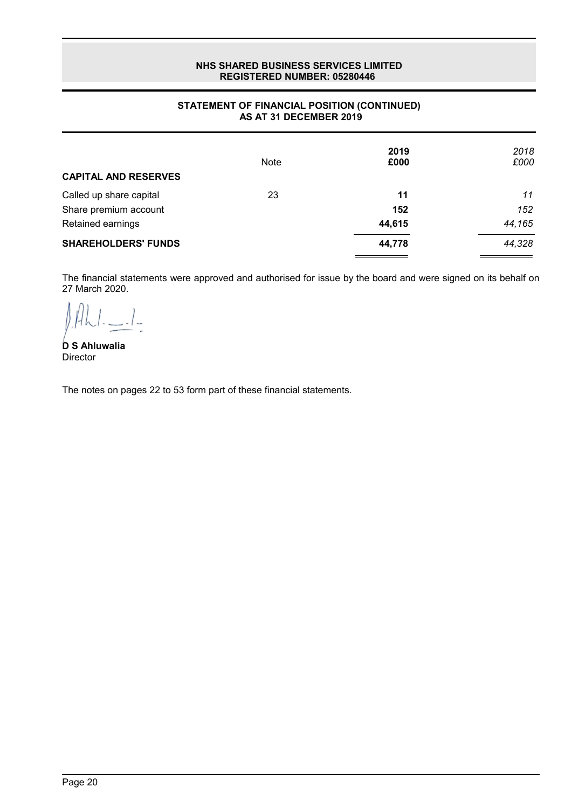### **NHS SHARED BUSINESS SERVICES LIMITED REGISTERED NUMBER: 05280446**

# **STATEMENT OF FINANCIAL POSITION (CONTINUED) AS AT 31 DECEMBER 2019**

|                             | <b>Note</b> | 2019<br>£000 | 2018<br>£000 |
|-----------------------------|-------------|--------------|--------------|
| <b>CAPITAL AND RESERVES</b> |             |              |              |
| Called up share capital     | 23          | 11           | 11           |
| Share premium account       |             | 152          | 152          |
| Retained earnings           |             | 44,615       | 44,165       |
| <b>SHAREHOLDERS' FUNDS</b>  |             | 44,778       | 44,328       |

The financial statements were approved and authorised for issue by the board and were signed on its behalf on 27 March 2020.

 $\frac{1}{2}$ 

**D S Ahluwalia** Director

The notes on pages 22 to 53 form part of these financial statements.

Page 20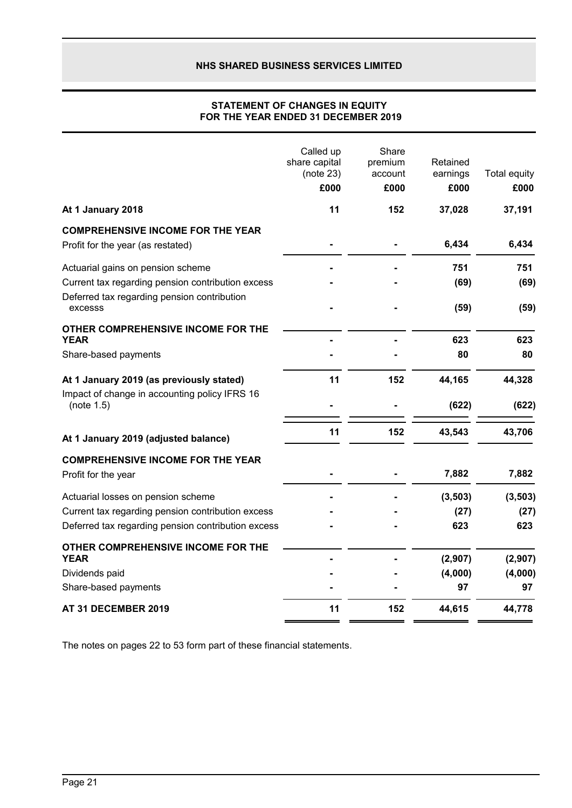# **STATEMENT OF CHANGES IN EQUITY FOR THE YEAR ENDED 31 DECEMBER 2019**

|                                                                               | Called up<br>share capital<br>(note 23)<br>£000 | Share<br>premium<br>account<br>£000 | Retained<br>earnings<br>£000 | <b>Total equity</b><br>£000 |
|-------------------------------------------------------------------------------|-------------------------------------------------|-------------------------------------|------------------------------|-----------------------------|
| At 1 January 2018                                                             | 11                                              | 152                                 | 37,028                       | 37,191                      |
| <b>COMPREHENSIVE INCOME FOR THE YEAR</b><br>Profit for the year (as restated) |                                                 |                                     | 6,434                        | 6,434                       |
| Actuarial gains on pension scheme                                             |                                                 |                                     | 751                          | 751                         |
| Current tax regarding pension contribution excess                             |                                                 |                                     | (69)                         | (69)                        |
| Deferred tax regarding pension contribution<br>excesss                        |                                                 |                                     | (59)                         | (59)                        |
| OTHER COMPREHENSIVE INCOME FOR THE<br><b>YEAR</b>                             |                                                 |                                     | 623                          | 623                         |
| Share-based payments                                                          |                                                 |                                     | 80                           | 80                          |
| At 1 January 2019 (as previously stated)                                      | 11                                              | 152                                 | 44,165                       | 44,328                      |
| Impact of change in accounting policy IFRS 16<br>(note 1.5)                   |                                                 |                                     | (622)                        | (622)                       |
| At 1 January 2019 (adjusted balance)                                          | 11                                              | 152                                 | 43,543                       | 43,706                      |
| <b>COMPREHENSIVE INCOME FOR THE YEAR</b>                                      |                                                 |                                     |                              |                             |
| Profit for the year                                                           |                                                 |                                     | 7,882                        | 7,882                       |
| Actuarial losses on pension scheme                                            |                                                 |                                     | (3, 503)                     | (3, 503)                    |
| Current tax regarding pension contribution excess                             |                                                 |                                     | (27)                         | (27)                        |
| Deferred tax regarding pension contribution excess                            |                                                 |                                     | 623                          | 623                         |
| OTHER COMPREHENSIVE INCOME FOR THE                                            |                                                 |                                     |                              |                             |
| <b>YEAR</b>                                                                   |                                                 |                                     | (2,907)                      | (2,907)                     |
| Dividends paid<br>Share-based payments                                        |                                                 |                                     | (4,000)<br>97                | (4,000)<br>97               |
|                                                                               |                                                 |                                     |                              |                             |
| AT 31 DECEMBER 2019                                                           | 11                                              | 152                                 | 44,615                       | 44,778                      |

The notes on pages 22 to 53 form part of these financial statements.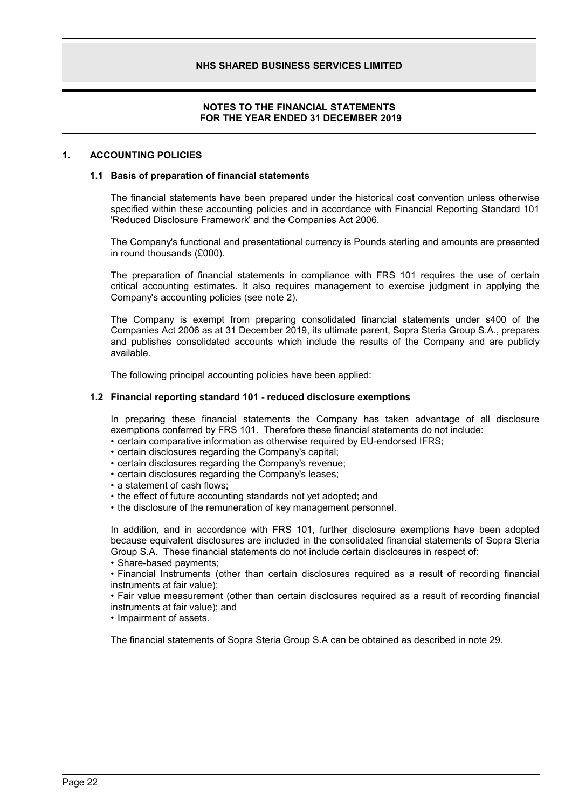# **1. ACCOUNTING POLICIES**

# **1.1 Basis of preparation of financial statements**

The financial statements have been prepared under the historical cost convention unless otherwise specified within these accounting policies and in accordance with Financial Reporting Standard 101 'Reduced Disclosure Framework' and the Companies Act 2006.

The Company's functional and presentational currency is Pounds sterling and amounts are presented in round thousands (£000).

The preparation of financial statements in compliance with FRS 101 requires the use of certain critical accounting estimates. It also requires management to exercise judgment in applying the Company's accounting policies (see note 2).

The Company is exempt from preparing consolidated financial statements under s400 of the Companies Act 2006 as at 31 December 2019, its ultimate parent, Sopra Steria Group S.A., prepares and publishes consolidated accounts which include the results of the Company and are publicly available.

The following principal accounting policies have been applied:

#### **1.2 Financial reporting standard 101 - reduced disclosure exemptions**

In preparing these financial statements the Company has taken advantage of all disclosure exemptions conferred by FRS 101. Therefore these financial statements do not include:

- certain comparative information as otherwise required by EU-endorsed IFRS;
- certain disclosures regarding the Company's capital;
- certain disclosures regarding the Company's revenue;
- certain disclosures regarding the Company's leases;
- a statement of cash flows:
- the effect of future accounting standards not yet adopted; and
- the disclosure of the remuneration of key management personnel.

In addition, and in accordance with FRS 101, further disclosure exemptions have been adopted because equivalent disclosures are included in the consolidated financial statements of Sopra Steria Group S.A. These financial statements do not include certain disclosures in respect of:

• Share-based payments;

• Financial Instruments (other than certain disclosures required as a result of recording financial instruments at fair value);

• Fair value measurement (other than certain disclosures required as a result of recording financial instruments at fair value); and

• Impairment of assets.

The financial statements of Sopra Steria Group S.A can be obtained as described in note 29.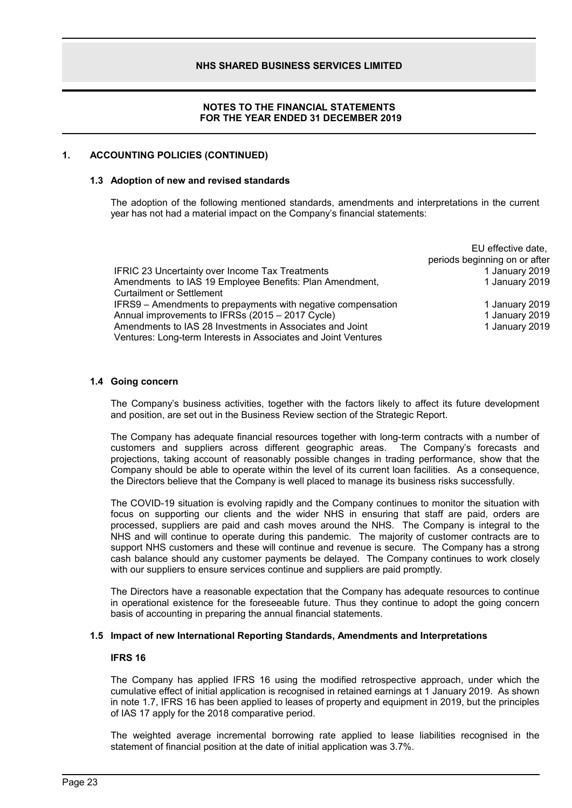# **NOTES TO THE FINANCIAL STATEMENTS FOR THE YEAR ENDED 31 DECEMBER 2019**

# **1. ACCOUNTING POLICIES (CONTINUED)**

#### **1.3 Adoption of new and revised standards**

The adoption of the following mentioned standards, amendments and interpretations in the current year has not had a material impact on the Company's financial statements:

|                                                                | EU effective date,            |
|----------------------------------------------------------------|-------------------------------|
|                                                                | periods beginning on or after |
| IFRIC 23 Uncertainty over Income Tax Treatments                | 1 January 2019                |
| Amendments to IAS 19 Employee Benefits: Plan Amendment,        | 1 January 2019                |
| <b>Curtailment or Settlement</b>                               |                               |
| IFRS9 – Amendments to prepayments with negative compensation   | 1 January 2019                |
| Annual improvements to IFRSs (2015 - 2017 Cycle)               | 1 January 2019                |
| Amendments to IAS 28 Investments in Associates and Joint       | 1 January 2019                |
| Ventures: Long-term Interests in Associates and Joint Ventures |                               |

# **1.4 Going concern**

The Company's business activities, together with the factors likely to affect its future development and position, are set out in the Business Review section of the Strategic Report.

The Company has adequate financial resources together with long-term contracts with a number of customers and suppliers across different geographic areas. The Company's forecasts and customers and suppliers across different geographic areas. projections, taking account of reasonably possible changes in trading performance, show that the Company should be able to operate within the level of its current loan facilities. As a consequence, the Directors believe that the Company is well placed to manage its business risks successfully.

The COVID-19 situation is evolving rapidly and the Company continues to monitor the situation with focus on supporting our clients and the wider NHS in ensuring that staff are paid, orders are processed, suppliers are paid and cash moves around the NHS. The Company is integral to the NHS and will continue to operate during this pandemic. The majority of customer contracts are to support NHS customers and these will continue and revenue is secure. The Company has a strong cash balance should any customer payments be delayed. The Company continues to work closely with our suppliers to ensure services continue and suppliers are paid promptly.

The Directors have a reasonable expectation that the Company has adequate resources to continue in operational existence for the foreseeable future. Thus they continue to adopt the going concern basis of accounting in preparing the annual financial statements.

#### **1.5 Impact of new International Reporting Standards, Amendments and Interpretations**

# **IFRS 16**

The Company has applied IFRS 16 using the modified retrospective approach, under which the cumulative effect of initial application is recognised in retained earnings at 1 January 2019. As shown in note 1.7, IFRS 16 has been applied to leases of property and equipment in 2019, but the principles of IAS 17 apply for the 2018 comparative period.

The weighted average incremental borrowing rate applied to lease liabilities recognised in the statement of financial position at the date of initial application was 3.7%.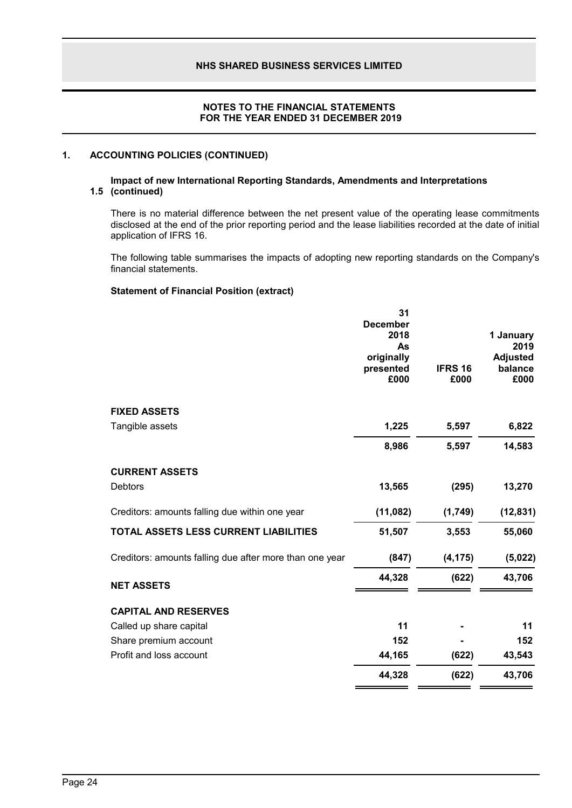# **NOTES TO THE FINANCIAL STATEMENTS FOR THE YEAR ENDED 31 DECEMBER 2019**

# **1. ACCOUNTING POLICIES (CONTINUED)**

# **1.5 (continued) Impact of new International Reporting Standards, Amendments and Interpretations**

There is no material difference between the net present value of the operating lease commitments disclosed at the end of the prior reporting period and the lease liabilities recorded at the date of initial application of IFRS 16.

The following table summarises the impacts of adopting new reporting standards on the Company's financial statements.

# **Statement of Financial Position (extract)**

|                                                         | 31                      |                |                 |
|---------------------------------------------------------|-------------------------|----------------|-----------------|
|                                                         | <b>December</b><br>2018 |                | 1 January       |
|                                                         | As                      |                | 2019            |
|                                                         | originally              |                | <b>Adjusted</b> |
|                                                         | presented               | <b>IFRS 16</b> | balance         |
|                                                         | £000                    | £000           | £000            |
| <b>FIXED ASSETS</b>                                     |                         |                |                 |
| Tangible assets                                         | 1,225                   | 5,597          | 6,822           |
|                                                         | 8,986                   | 5,597          | 14,583          |
| <b>CURRENT ASSETS</b>                                   |                         |                |                 |
| <b>Debtors</b>                                          | 13,565                  | (295)          | 13,270          |
| Creditors: amounts falling due within one year          | (11,082)                | (1,749)        | (12, 831)       |
| TOTAL ASSETS LESS CURRENT LIABILITIES                   | 51,507                  | 3,553          | 55,060          |
| Creditors: amounts falling due after more than one year | (847)                   | (4, 175)       | (5,022)         |
| <b>NET ASSETS</b>                                       | 44,328                  | (622)          | 43,706          |
|                                                         |                         |                |                 |
| <b>CAPITAL AND RESERVES</b>                             |                         |                |                 |
| Called up share capital                                 | 11                      |                | 11              |
| Share premium account                                   | 152                     |                | 152             |
| Profit and loss account                                 | 44,165                  | (622)          | 43,543          |
|                                                         | 44,328                  | (622)          | 43,706          |
|                                                         |                         |                |                 |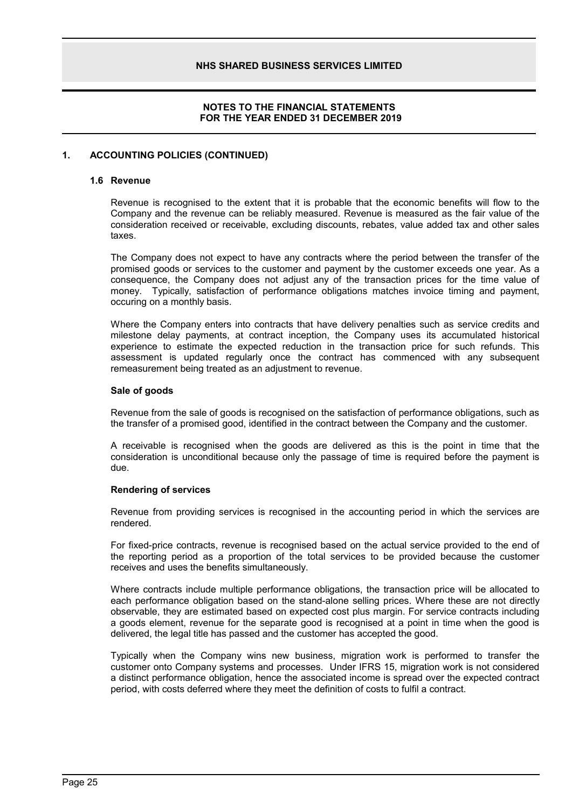# **NOTES TO THE FINANCIAL STATEMENTS FOR THE YEAR ENDED 31 DECEMBER 2019**

#### **1. ACCOUNTING POLICIES (CONTINUED)**

#### **1.6 Revenue**

Revenue is recognised to the extent that it is probable that the economic benefits will flow to the Company and the revenue can be reliably measured. Revenue is measured as the fair value of the consideration received or receivable, excluding discounts, rebates, value added tax and other sales taxes.

The Company does not expect to have any contracts where the period between the transfer of the promised goods or services to the customer and payment by the customer exceeds one year. As a consequence, the Company does not adjust any of the transaction prices for the time value of money. Typically, satisfaction of performance obligations matches invoice timing and payment, occuring on a monthly basis.

Where the Company enters into contracts that have delivery penalties such as service credits and milestone delay payments, at contract inception, the Company uses its accumulated historical experience to estimate the expected reduction in the transaction price for such refunds. This assessment is updated regularly once the contract has commenced with any subsequent remeasurement being treated as an adjustment to revenue.

#### **Sale of goods**

Revenue from the sale of goods is recognised on the satisfaction of performance obligations, such as the transfer of a promised good, identified in the contract between the Company and the customer.

A receivable is recognised when the goods are delivered as this is the point in time that the consideration is unconditional because only the passage of time is required before the payment is due.

#### **Rendering of services**

Revenue from providing services is recognised in the accounting period in which the services are rendered.

For fixed-price contracts, revenue is recognised based on the actual service provided to the end of the reporting period as a proportion of the total services to be provided because the customer receives and uses the benefits simultaneously.

Where contracts include multiple performance obligations, the transaction price will be allocated to each performance obligation based on the stand-alone selling prices. Where these are not directly observable, they are estimated based on expected cost plus margin. For service contracts including a goods element, revenue for the separate good is recognised at a point in time when the good is delivered, the legal title has passed and the customer has accepted the good.

Typically when the Company wins new business, migration work is performed to transfer the customer onto Company systems and processes. Under IFRS 15, migration work is not considered a distinct performance obligation, hence the associated income is spread over the expected contract period, with costs deferred where they meet the definition of costs to fulfil a contract.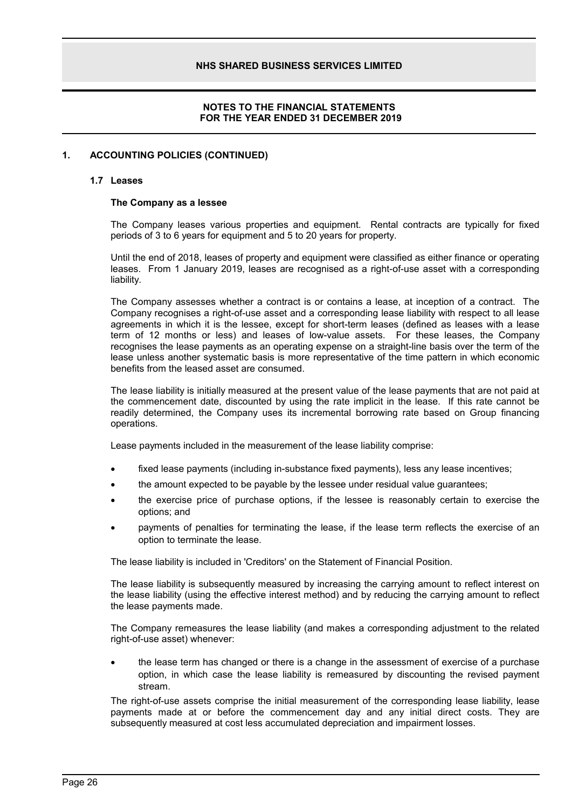# **NOTES TO THE FINANCIAL STATEMENTS FOR THE YEAR ENDED 31 DECEMBER 2019**

# **1. ACCOUNTING POLICIES (CONTINUED)**

#### **1.7 Leases**

#### **The Company as a lessee**

The Company leases various properties and equipment. Rental contracts are typically for fixed periods of 3 to 6 years for equipment and 5 to 20 years for property.

Until the end of 2018, leases of property and equipment were classified as either finance or operating leases. From 1 January 2019, leases are recognised as a right-of-use asset with a corresponding liability.

The Company assesses whether a contract is or contains a lease, at inception of a contract. The Company recognises a right-of-use asset and a corresponding lease liability with respect to all lease agreements in which it is the lessee, except for short-term leases (defined as leases with a lease term of 12 months or less) and leases of low-value assets. For these leases, the Company recognises the lease payments as an operating expense on a straight-line basis over the term of the lease unless another systematic basis is more representative of the time pattern in which economic benefits from the leased asset are consumed.

The lease liability is initially measured at the present value of the lease payments that are not paid at the commencement date, discounted by using the rate implicit in the lease. If this rate cannot be readily determined, the Company uses its incremental borrowing rate based on Group financing operations.

Lease payments included in the measurement of the lease liability comprise:

- fixed lease payments (including in-substance fixed payments), less any lease incentives;
- the amount expected to be payable by the lessee under residual value guarantees;
- the exercise price of purchase options, if the lessee is reasonably certain to exercise the options; and
- payments of penalties for terminating the lease, if the lease term reflects the exercise of an option to terminate the lease.

The lease liability is included in 'Creditors' on the Statement of Financial Position.

The lease liability is subsequently measured by increasing the carrying amount to reflect interest on the lease liability (using the effective interest method) and by reducing the carrying amount to reflect the lease payments made.

The Company remeasures the lease liability (and makes a corresponding adjustment to the related right-of-use asset) whenever:

 the lease term has changed or there is a change in the assessment of exercise of a purchase option, in which case the lease liability is remeasured by discounting the revised payment stream.

The right-of-use assets comprise the initial measurement of the corresponding lease liability, lease payments made at or before the commencement day and any initial direct costs. They are subsequently measured at cost less accumulated depreciation and impairment losses.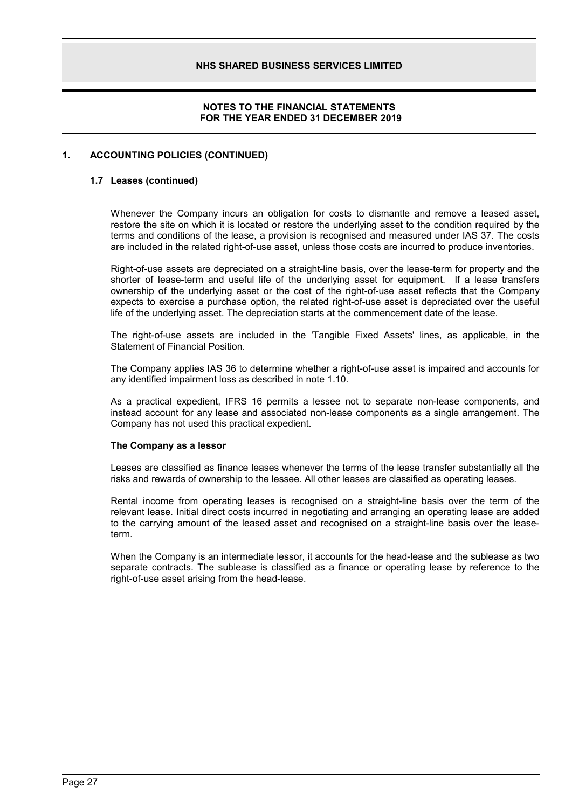# **NOTES TO THE FINANCIAL STATEMENTS FOR THE YEAR ENDED 31 DECEMBER 2019**

#### **1. ACCOUNTING POLICIES (CONTINUED)**

#### **1.7 Leases (continued)**

Whenever the Company incurs an obligation for costs to dismantle and remove a leased asset, restore the site on which it is located or restore the underlying asset to the condition required by the terms and conditions of the lease, a provision is recognised and measured under IAS 37. The costs are included in the related right-of-use asset, unless those costs are incurred to produce inventories.

Right-of-use assets are depreciated on a straight-line basis, over the lease-term for property and the shorter of lease-term and useful life of the underlying asset for equipment. If a lease transfers ownership of the underlying asset or the cost of the right-of-use asset reflects that the Company expects to exercise a purchase option, the related right-of-use asset is depreciated over the useful life of the underlying asset. The depreciation starts at the commencement date of the lease.

The right-of-use assets are included in the 'Tangible Fixed Assets' lines, as applicable, in the Statement of Financial Position.

The Company applies IAS 36 to determine whether a right-of-use asset is impaired and accounts for any identified impairment loss as described in note 1.10.

As a practical expedient, IFRS 16 permits a lessee not to separate non-lease components, and instead account for any lease and associated non-lease components as a single arrangement. The Company has not used this practical expedient.

#### **The Company as a lessor**

Leases are classified as finance leases whenever the terms of the lease transfer substantially all the risks and rewards of ownership to the lessee. All other leases are classified as operating leases.

Rental income from operating leases is recognised on a straight-line basis over the term of the relevant lease. Initial direct costs incurred in negotiating and arranging an operating lease are added to the carrying amount of the leased asset and recognised on a straight-line basis over the leaseterm.

When the Company is an intermediate lessor, it accounts for the head-lease and the sublease as two separate contracts. The sublease is classified as a finance or operating lease by reference to the right-of-use asset arising from the head-lease.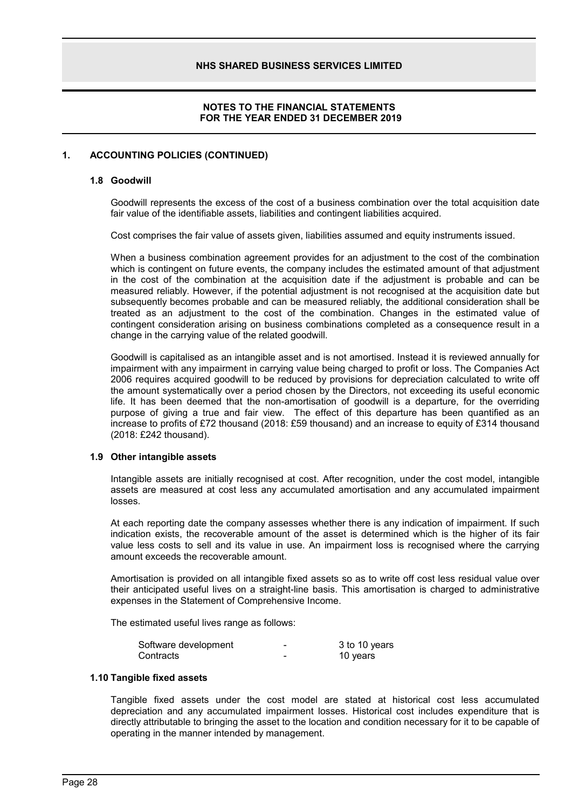# **NOTES TO THE FINANCIAL STATEMENTS FOR THE YEAR ENDED 31 DECEMBER 2019**

# **1. ACCOUNTING POLICIES (CONTINUED)**

#### **1.8 Goodwill**

Goodwill represents the excess of the cost of a business combination over the total acquisition date fair value of the identifiable assets, liabilities and contingent liabilities acquired.

Cost comprises the fair value of assets given, liabilities assumed and equity instruments issued.

When a business combination agreement provides for an adjustment to the cost of the combination which is contingent on future events, the company includes the estimated amount of that adjustment in the cost of the combination at the acquisition date if the adjustment is probable and can be measured reliably. However, if the potential adjustment is not recognised at the acquisition date but subsequently becomes probable and can be measured reliably, the additional consideration shall be treated as an adjustment to the cost of the combination. Changes in the estimated value of contingent consideration arising on business combinations completed as a consequence result in a change in the carrying value of the related goodwill.

Goodwill is capitalised as an intangible asset and is not amortised. Instead it is reviewed annually for impairment with any impairment in carrying value being charged to profit or loss. The Companies Act 2006 requires acquired goodwill to be reduced by provisions for depreciation calculated to write off the amount systematically over a period chosen by the Directors, not exceeding its useful economic life. It has been deemed that the non-amortisation of goodwill is a departure, for the overriding purpose of giving a true and fair view. The effect of this departure has been quantified as an increase to profits of £72 thousand (2018: £59 thousand) and an increase to equity of £314 thousand (2018: £242 thousand).

#### **1.9 Other intangible assets**

Intangible assets are initially recognised at cost. After recognition, under the cost model, intangible assets are measured at cost less any accumulated amortisation and any accumulated impairment losses.

At each reporting date the company assesses whether there is any indication of impairment. If such indication exists, the recoverable amount of the asset is determined which is the higher of its fair value less costs to sell and its value in use. An impairment loss is recognised where the carrying amount exceeds the recoverable amount.

Amortisation is provided on all intangible fixed assets so as to write off cost less residual value over their anticipated useful lives on a straight-line basis. This amortisation is charged to administrative expenses in the Statement of Comprehensive Income.

The estimated useful lives range as follows:

| Software development | - | 3 to 10 years |
|----------------------|---|---------------|
| Contracts            | - | 10 years      |

#### **1.10 Tangible fixed assets**

Tangible fixed assets under the cost model are stated at historical cost less accumulated depreciation and any accumulated impairment losses. Historical cost includes expenditure that is directly attributable to bringing the asset to the location and condition necessary for it to be capable of operating in the manner intended by management.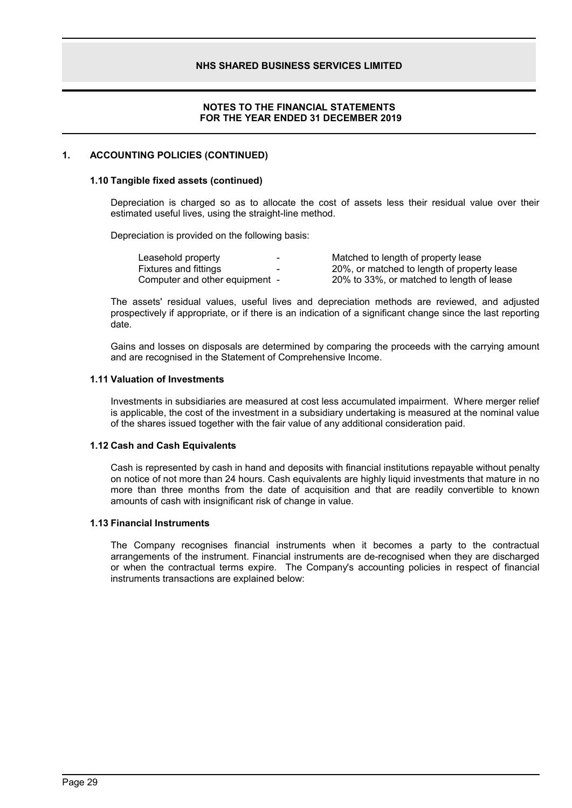# **NOTES TO THE FINANCIAL STATEMENTS FOR THE YEAR ENDED 31 DECEMBER 2019**

#### **1. ACCOUNTING POLICIES (CONTINUED)**

#### **1.10 Tangible fixed assets (continued)**

Depreciation is charged so as to allocate the cost of assets less their residual value over their estimated useful lives, using the straight-line method.

Depreciation is provided on the following basis:

| Leasehold property             | -      | Matched to length of property lease         |
|--------------------------------|--------|---------------------------------------------|
| <b>Fixtures and fittings</b>   | $\sim$ | 20%, or matched to length of property lease |
| Computer and other equipment - |        | 20% to 33%, or matched to length of lease   |

The assets' residual values, useful lives and depreciation methods are reviewed, and adjusted prospectively if appropriate, or if there is an indication of a significant change since the last reporting date.

Gains and losses on disposals are determined by comparing the proceeds with the carrying amount and are recognised in the Statement of Comprehensive Income.

#### **1.11 Valuation of Investments**

Investments in subsidiaries are measured at cost less accumulated impairment. Where merger relief is applicable, the cost of the investment in a subsidiary undertaking is measured at the nominal value of the shares issued together with the fair value of any additional consideration paid.

#### **1.12 Cash and Cash Equivalents**

Cash is represented by cash in hand and deposits with financial institutions repayable without penalty on notice of not more than 24 hours. Cash equivalents are highly liquid investments that mature in no more than three months from the date of acquisition and that are readily convertible to known amounts of cash with insignificant risk of change in value.

# **1.13 Financial Instruments**

The Company recognises financial instruments when it becomes a party to the contractual arrangements of the instrument. Financial instruments are de-recognised when they are discharged or when the contractual terms expire. The Company's accounting policies in respect of financial instruments transactions are explained below: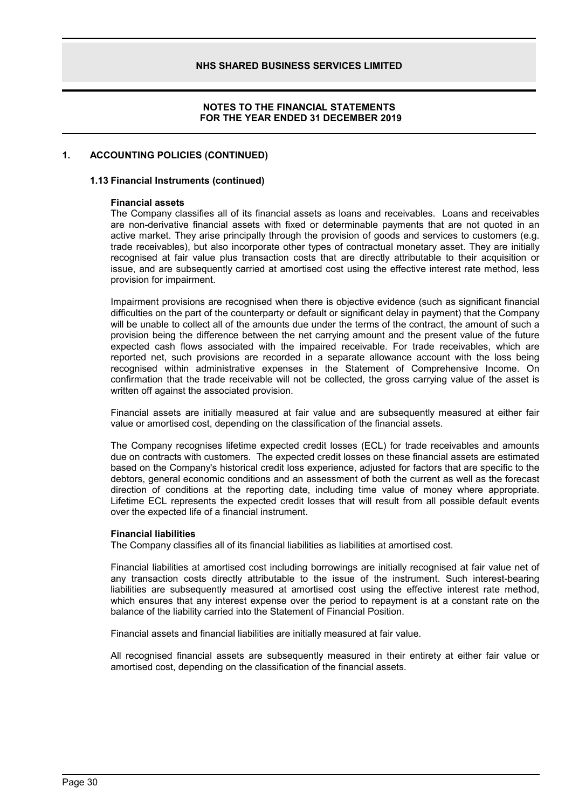# **1. ACCOUNTING POLICIES (CONTINUED)**

#### **1.13 Financial Instruments (continued)**

#### **Financial assets**

The Company classifies all of its financial assets as loans and receivables. Loans and receivables are non-derivative financial assets with fixed or determinable payments that are not quoted in an active market. They arise principally through the provision of goods and services to customers (e.g. trade receivables), but also incorporate other types of contractual monetary asset. They are initially recognised at fair value plus transaction costs that are directly attributable to their acquisition or issue, and are subsequently carried at amortised cost using the effective interest rate method, less provision for impairment.

Impairment provisions are recognised when there is objective evidence (such as significant financial difficulties on the part of the counterparty or default or significant delay in payment) that the Company will be unable to collect all of the amounts due under the terms of the contract, the amount of such a provision being the difference between the net carrying amount and the present value of the future expected cash flows associated with the impaired receivable. For trade receivables, which are reported net, such provisions are recorded in a separate allowance account with the loss being recognised within administrative expenses in the Statement of Comprehensive Income. On confirmation that the trade receivable will not be collected, the gross carrying value of the asset is written off against the associated provision.

Financial assets are initially measured at fair value and are subsequently measured at either fair value or amortised cost, depending on the classification of the financial assets.

The Company recognises lifetime expected credit losses (ECL) for trade receivables and amounts due on contracts with customers. The expected credit losses on these financial assets are estimated based on the Company's historical credit loss experience, adjusted for factors that are specific to the debtors, general economic conditions and an assessment of both the current as well as the forecast direction of conditions at the reporting date, including time value of money where appropriate. Lifetime ECL represents the expected credit losses that will result from all possible default events over the expected life of a financial instrument.

# **Financial liabilities**

The Company classifies all of its financial liabilities as liabilities at amortised cost.

Financial liabilities at amortised cost including borrowings are initially recognised at fair value net of any transaction costs directly attributable to the issue of the instrument. Such interest-bearing liabilities are subsequently measured at amortised cost using the effective interest rate method, which ensures that any interest expense over the period to repayment is at a constant rate on the balance of the liability carried into the Statement of Financial Position.

Financial assets and financial liabilities are initially measured at fair value.

All recognised financial assets are subsequently measured in their entirety at either fair value or amortised cost, depending on the classification of the financial assets.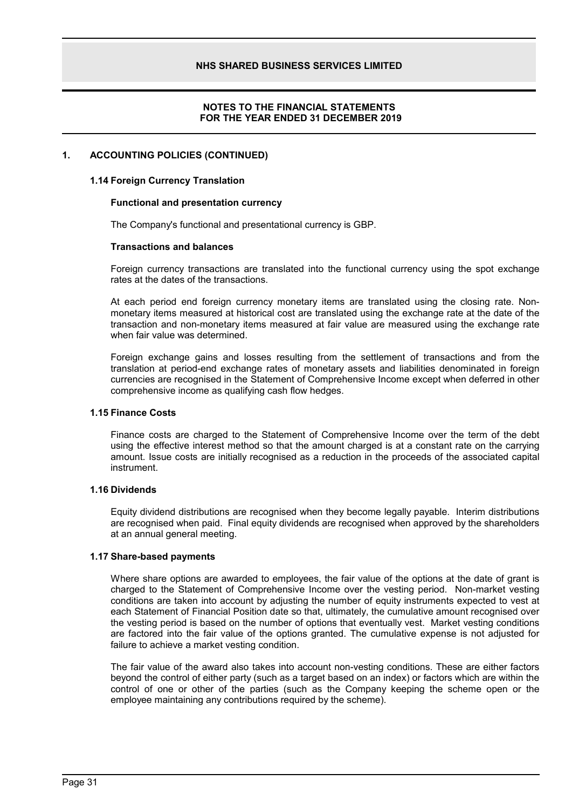# **1. ACCOUNTING POLICIES (CONTINUED)**

#### **1.14 Foreign Currency Translation**

#### **Functional and presentation currency**

The Company's functional and presentational currency is GBP.

# **Transactions and balances**

Foreign currency transactions are translated into the functional currency using the spot exchange rates at the dates of the transactions.

At each period end foreign currency monetary items are translated using the closing rate. Nonmonetary items measured at historical cost are translated using the exchange rate at the date of the transaction and non-monetary items measured at fair value are measured using the exchange rate when fair value was determined.

Foreign exchange gains and losses resulting from the settlement of transactions and from the translation at period-end exchange rates of monetary assets and liabilities denominated in foreign currencies are recognised in the Statement of Comprehensive Income except when deferred in other comprehensive income as qualifying cash flow hedges.

#### **1.15 Finance Costs**

Finance costs are charged to the Statement of Comprehensive Income over the term of the debt using the effective interest method so that the amount charged is at a constant rate on the carrying amount. Issue costs are initially recognised as a reduction in the proceeds of the associated capital instrument.

#### **1.16 Dividends**

Equity dividend distributions are recognised when they become legally payable. Interim distributions are recognised when paid. Final equity dividends are recognised when approved by the shareholders at an annual general meeting.

#### **1.17 Share-based payments**

Where share options are awarded to employees, the fair value of the options at the date of grant is charged to the Statement of Comprehensive Income over the vesting period. Non-market vesting conditions are taken into account by adjusting the number of equity instruments expected to vest at each Statement of Financial Position date so that, ultimately, the cumulative amount recognised over the vesting period is based on the number of options that eventually vest. Market vesting conditions are factored into the fair value of the options granted. The cumulative expense is not adjusted for failure to achieve a market vesting condition.

The fair value of the award also takes into account non-vesting conditions. These are either factors beyond the control of either party (such as a target based on an index) or factors which are within the control of one or other of the parties (such as the Company keeping the scheme open or the employee maintaining any contributions required by the scheme).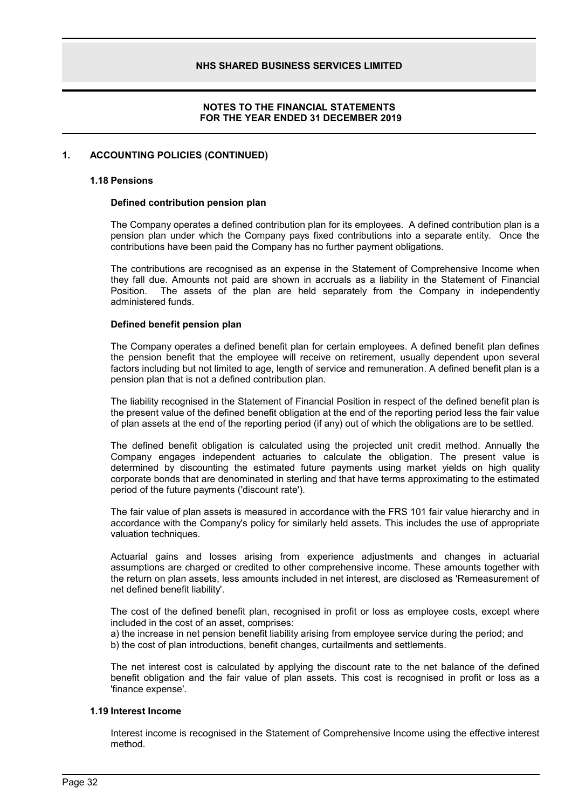# **1. ACCOUNTING POLICIES (CONTINUED)**

#### **1.18 Pensions**

### **Defined contribution pension plan**

The Company operates a defined contribution plan for its employees. A defined contribution plan is a pension plan under which the Company pays fixed contributions into a separate entity. Once the contributions have been paid the Company has no further payment obligations.

The contributions are recognised as an expense in the Statement of Comprehensive Income when they fall due. Amounts not paid are shown in accruals as a liability in the Statement of Financial Position. The assets of the plan are held separately from the Company in independently administered funds.

# **Defined benefit pension plan**

The Company operates a defined benefit plan for certain employees. A defined benefit plan defines the pension benefit that the employee will receive on retirement, usually dependent upon several factors including but not limited to age, length of service and remuneration. A defined benefit plan is a pension plan that is not a defined contribution plan.

The liability recognised in the Statement of Financial Position in respect of the defined benefit plan is the present value of the defined benefit obligation at the end of the reporting period less the fair value of plan assets at the end of the reporting period (if any) out of which the obligations are to be settled.

The defined benefit obligation is calculated using the projected unit credit method. Annually the Company engages independent actuaries to calculate the obligation. The present value is determined by discounting the estimated future payments using market yields on high quality corporate bonds that are denominated in sterling and that have terms approximating to the estimated period of the future payments ('discount rate').

The fair value of plan assets is measured in accordance with the FRS 101 fair value hierarchy and in accordance with the Company's policy for similarly held assets. This includes the use of appropriate valuation techniques.

Actuarial gains and losses arising from experience adjustments and changes in actuarial assumptions are charged or credited to other comprehensive income. These amounts together with the return on plan assets, less amounts included in net interest, are disclosed as 'Remeasurement of net defined benefit liability'.

The cost of the defined benefit plan, recognised in profit or loss as employee costs, except where included in the cost of an asset, comprises:

a) the increase in net pension benefit liability arising from employee service during the period; and b) the cost of plan introductions, benefit changes, curtailments and settlements.

The net interest cost is calculated by applying the discount rate to the net balance of the defined benefit obligation and the fair value of plan assets. This cost is recognised in profit or loss as a 'finance expense'.

#### **1.19 Interest Income**

Interest income is recognised in the Statement of Comprehensive Income using the effective interest method.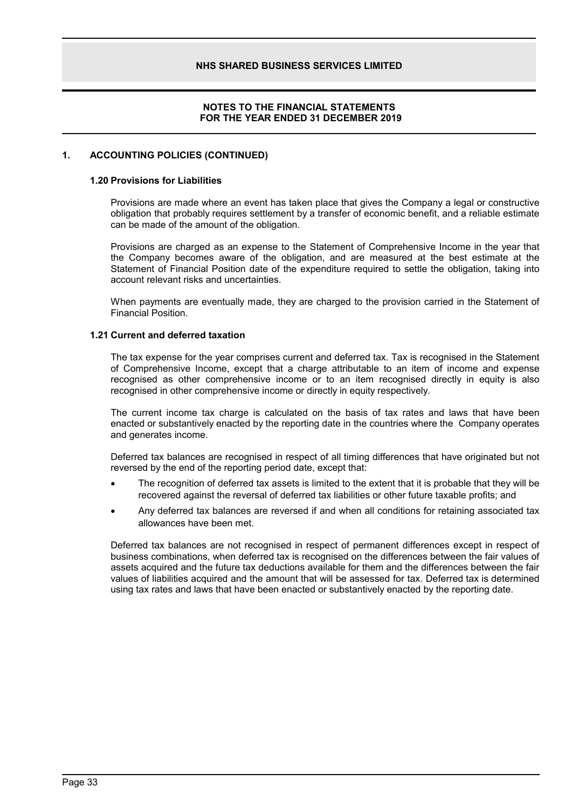# **1. ACCOUNTING POLICIES (CONTINUED)**

#### **1.20 Provisions for Liabilities**

Provisions are made where an event has taken place that gives the Company a legal or constructive obligation that probably requires settlement by a transfer of economic benefit, and a reliable estimate can be made of the amount of the obligation.

Provisions are charged as an expense to the Statement of Comprehensive Income in the year that the Company becomes aware of the obligation, and are measured at the best estimate at the Statement of Financial Position date of the expenditure required to settle the obligation, taking into account relevant risks and uncertainties.

When payments are eventually made, they are charged to the provision carried in the Statement of Financial Position.

# **1.21 Current and deferred taxation**

The tax expense for the year comprises current and deferred tax. Tax is recognised in the Statement of Comprehensive Income, except that a charge attributable to an item of income and expense recognised as other comprehensive income or to an item recognised directly in equity is also recognised in other comprehensive income or directly in equity respectively.

The current income tax charge is calculated on the basis of tax rates and laws that have been enacted or substantively enacted by the reporting date in the countries where the Company operates and generates income.

Deferred tax balances are recognised in respect of all timing differences that have originated but not reversed by the end of the reporting period date, except that:

- The recognition of deferred tax assets is limited to the extent that it is probable that they will be recovered against the reversal of deferred tax liabilities or other future taxable profits; and
- Any deferred tax balances are reversed if and when all conditions for retaining associated tax allowances have been met.

Deferred tax balances are not recognised in respect of permanent differences except in respect of business combinations, when deferred tax is recognised on the differences between the fair values of assets acquired and the future tax deductions available for them and the differences between the fair values of liabilities acquired and the amount that will be assessed for tax. Deferred tax is determined using tax rates and laws that have been enacted or substantively enacted by the reporting date.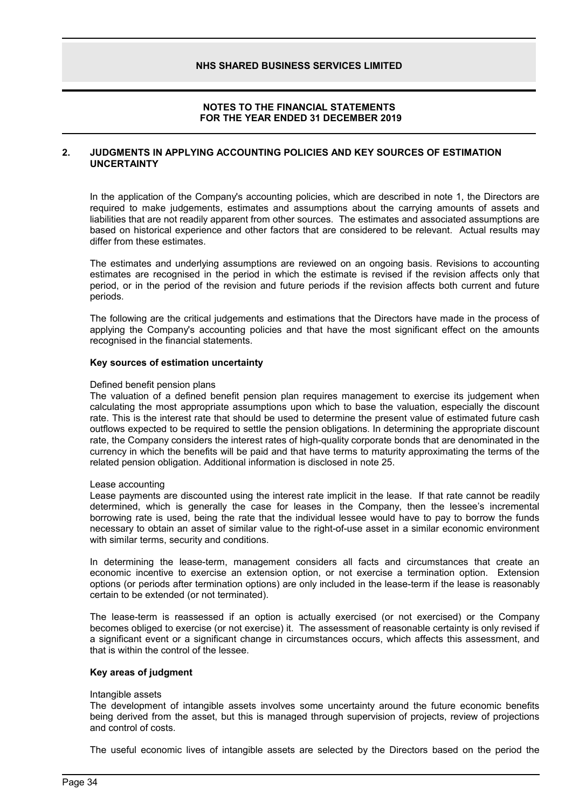# **NOTES TO THE FINANCIAL STATEMENTS FOR THE YEAR ENDED 31 DECEMBER 2019**

# **2. JUDGMENTS IN APPLYING ACCOUNTING POLICIES AND KEY SOURCES OF ESTIMATION UNCERTAINTY**

In the application of the Company's accounting policies, which are described in note 1, the Directors are required to make judgements, estimates and assumptions about the carrying amounts of assets and liabilities that are not readily apparent from other sources. The estimates and associated assumptions are based on historical experience and other factors that are considered to be relevant. Actual results may differ from these estimates.

The estimates and underlying assumptions are reviewed on an ongoing basis. Revisions to accounting estimates are recognised in the period in which the estimate is revised if the revision affects only that period, or in the period of the revision and future periods if the revision affects both current and future periods.

The following are the critical judgements and estimations that the Directors have made in the process of applying the Company's accounting policies and that have the most significant effect on the amounts recognised in the financial statements.

#### **Key sources of estimation uncertainty**

#### Defined benefit pension plans

The valuation of a defined benefit pension plan requires management to exercise its judgement when calculating the most appropriate assumptions upon which to base the valuation, especially the discount rate. This is the interest rate that should be used to determine the present value of estimated future cash outflows expected to be required to settle the pension obligations. In determining the appropriate discount rate, the Company considers the interest rates of high-quality corporate bonds that are denominated in the currency in which the benefits will be paid and that have terms to maturity approximating the terms of the related pension obligation. Additional information is disclosed in note 25.

#### Lease accounting

Lease payments are discounted using the interest rate implicit in the lease. If that rate cannot be readily determined, which is generally the case for leases in the Company, then the lessee's incremental borrowing rate is used, being the rate that the individual lessee would have to pay to borrow the funds necessary to obtain an asset of similar value to the right-of-use asset in a similar economic environment with similar terms, security and conditions.

In determining the lease-term, management considers all facts and circumstances that create an economic incentive to exercise an extension option, or not exercise a termination option. Extension options (or periods after termination options) are only included in the lease-term if the lease is reasonably certain to be extended (or not terminated).

The lease-term is reassessed if an option is actually exercised (or not exercised) or the Company becomes obliged to exercise (or not exercise) it. The assessment of reasonable certainty is only revised if a significant event or a significant change in circumstances occurs, which affects this assessment, and that is within the control of the lessee.

#### **Key areas of judgment**

#### Intangible assets

The development of intangible assets involves some uncertainty around the future economic benefits being derived from the asset, but this is managed through supervision of projects, review of projections and control of costs.

The useful economic lives of intangible assets are selected by the Directors based on the period the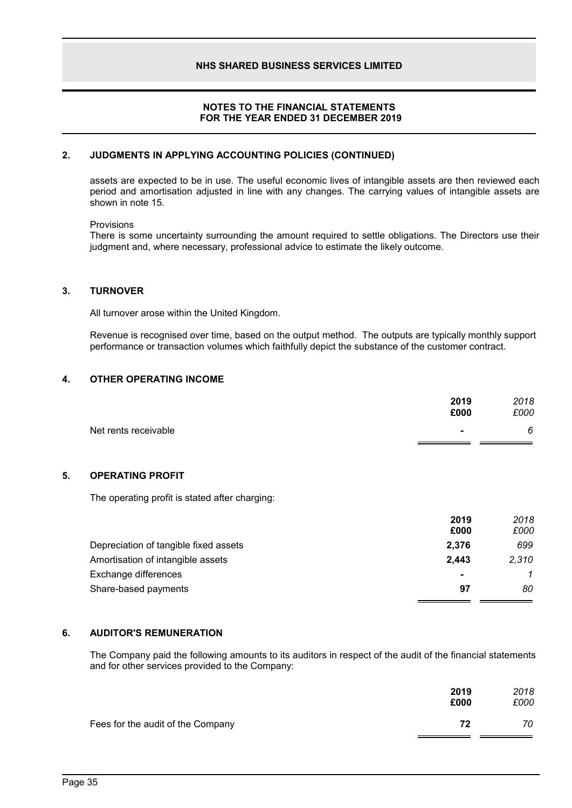# **NOTES TO THE FINANCIAL STATEMENTS FOR THE YEAR ENDED 31 DECEMBER 2019**

# **2. JUDGMENTS IN APPLYING ACCOUNTING POLICIES (CONTINUED)**

assets are expected to be in use. The useful economic lives of intangible assets are then reviewed each period and amortisation adjusted in line with any changes. The carrying values of intangible assets are shown in note 15.

Provisions

There is some uncertainty surrounding the amount required to settle obligations. The Directors use their judgment and, where necessary, professional advice to estimate the likely outcome.

### **3. TURNOVER**

All turnover arose within the United Kingdom.

Revenue is recognised over time, based on the output method. The outputs are typically monthly support performance or transaction volumes which faithfully depict the substance of the customer contract.

# **4. OTHER OPERATING INCOME**

|                                                | £000         | 2018<br>£000 |
|------------------------------------------------|--------------|--------------|
| Net rents receivable                           |              | 6            |
| 5.<br><b>OPERATING PROFIT</b>                  |              |              |
| The operating profit is stated after charging: |              |              |
|                                                | 2019<br>£000 | 2018<br>£000 |
| Depreciation of tangible fixed assets          | 2,376        | 699          |
| Amortisation of intangible assets              | 2,443        | 2,310        |
| Exchange differences                           |              | 1            |
| Share-based payments                           | 97           | 80           |

# **6. AUDITOR'S REMUNERATION**

The Company paid the following amounts to its auditors in respect of the audit of the financial statements and for other services provided to the Company:

|                                   | 2019<br>£000 | 2018<br>£000 |
|-----------------------------------|--------------|--------------|
| Fees for the audit of the Company | 72           | 70           |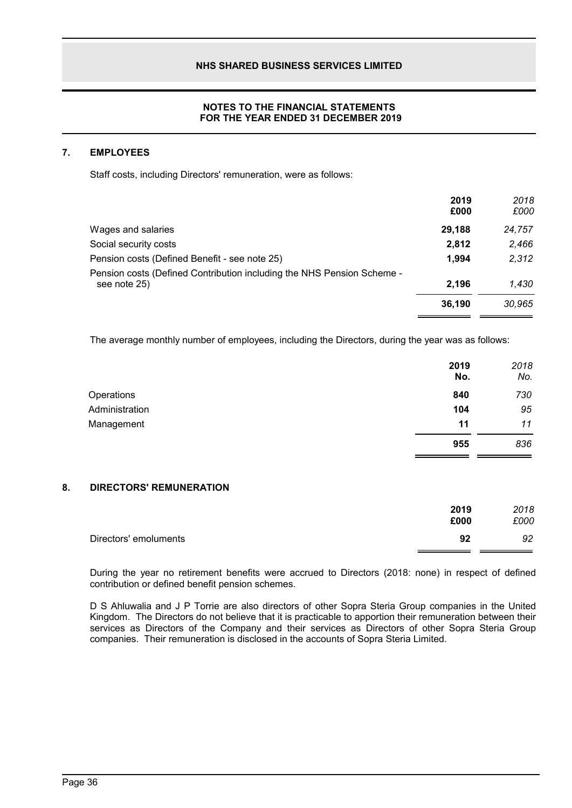# **NOTES TO THE FINANCIAL STATEMENTS FOR THE YEAR ENDED 31 DECEMBER 2019**

# **7. EMPLOYEES**

Staff costs, including Directors' remuneration, were as follows:

|                                                                                        | 2019<br>£000 | 2018<br>£000 |
|----------------------------------------------------------------------------------------|--------------|--------------|
| Wages and salaries                                                                     | 29,188       | 24,757       |
| Social security costs                                                                  | 2,812        | 2,466        |
| Pension costs (Defined Benefit - see note 25)                                          | 1.994        | 2,312        |
| Pension costs (Defined Contribution including the NHS Pension Scheme -<br>see note 25) | 2.196        | 1,430        |
|                                                                                        | 36,190       | 30.965       |

The average monthly number of employees, including the Directors, during the year was as follows:

|                | 2019<br>No. | 2018<br>No. |
|----------------|-------------|-------------|
| Operations     | 840         | 730         |
| Administration | 104         | 95          |
| Management     | 11          | 11          |
|                | 955         | 836         |
|                |             |             |

# **8. DIRECTORS' REMUNERATION**

|                       | 2019<br>£000 | 2018<br>£000 |
|-----------------------|--------------|--------------|
| Directors' emoluments | 92           | 92           |

During the year no retirement benefits were accrued to Directors (2018: none) in respect of defined contribution or defined benefit pension schemes.

D S Ahluwalia and J P Torrie are also directors of other Sopra Steria Group companies in the United Kingdom. The Directors do not believe that it is practicable to apportion their remuneration between their services as Directors of the Company and their services as Directors of other Sopra Steria Group companies. Their remuneration is disclosed in the accounts of Sopra Steria Limited.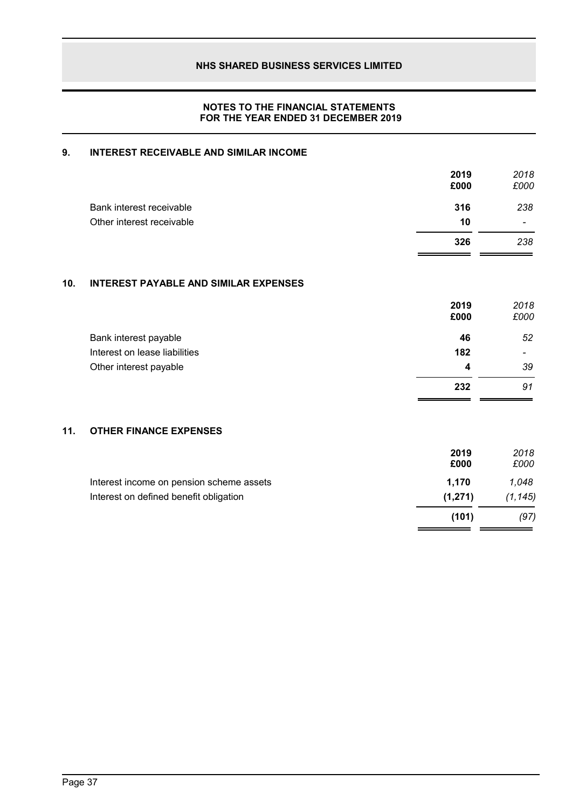# **NOTES TO THE FINANCIAL STATEMENTS FOR THE YEAR ENDED 31 DECEMBER 2019**

# **9. INTEREST RECEIVABLE AND SIMILAR INCOME**

|                           | 2019 | 2018            |
|---------------------------|------|-----------------|
|                           | £000 | £000            |
| Bank interest receivable  | 316  | 238             |
| Other interest receivable | 10   | $\qquad \qquad$ |
|                           | 326  | 238             |
|                           |      |                 |

# **10. INTEREST PAYABLE AND SIMILAR EXPENSES**

|                               | 2019 | 2018 |
|-------------------------------|------|------|
|                               | £000 | £000 |
| Bank interest payable         | 46   | 52   |
| Interest on lease liabilities | 182  |      |
| Other interest payable        | 4    | 39   |
|                               | 232  | 91   |
|                               |      |      |

# **11. OTHER FINANCE EXPENSES**

|                                          | 2019<br>£000 | 2018<br>£000 |
|------------------------------------------|--------------|--------------|
| Interest income on pension scheme assets | 1.170        | 1.048        |
| Interest on defined benefit obligation   | (1,271)      | (1, 145)     |
|                                          | (101)        | (97)         |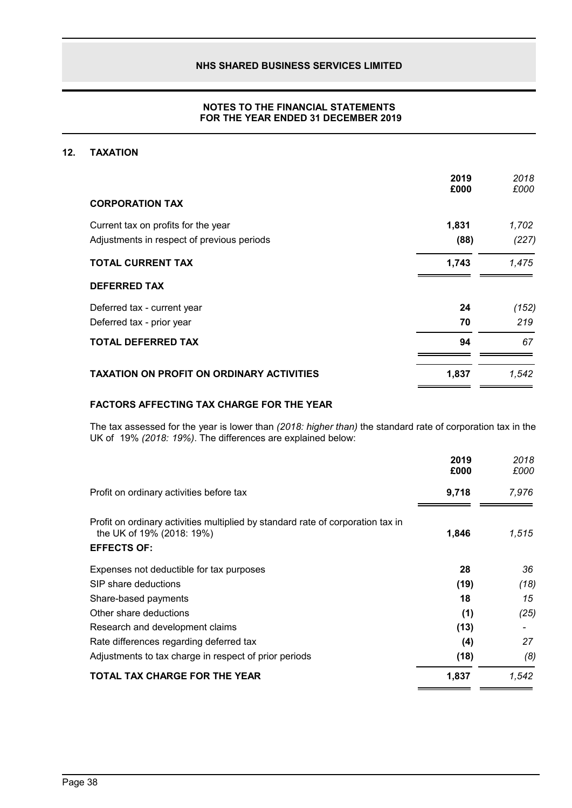# **12. TAXATION**

|                                                  | 2019<br>£000 | 2018<br>£000 |
|--------------------------------------------------|--------------|--------------|
| <b>CORPORATION TAX</b>                           |              |              |
| Current tax on profits for the year              | 1,831        | 1,702        |
| Adjustments in respect of previous periods       | (88)         | (227)        |
| <b>TOTAL CURRENT TAX</b>                         | 1,743        | 1,475        |
| <b>DEFERRED TAX</b>                              |              |              |
| Deferred tax - current year                      | 24           | (152)        |
| Deferred tax - prior year                        | 70           | 219          |
| <b>TOTAL DEFERRED TAX</b>                        | 94           | 67           |
| <b>TAXATION ON PROFIT ON ORDINARY ACTIVITIES</b> | 1,837        | 1,542        |

# **FACTORS AFFECTING TAX CHARGE FOR THE YEAR**

The tax assessed for the year is lower than *(2018: higher than)* the standard rate of corporation tax in the UK of 19% *(2018: 19%)*. The differences are explained below:

|                                                                                                              | 2019<br>£000 | 2018<br>£000 |
|--------------------------------------------------------------------------------------------------------------|--------------|--------------|
| Profit on ordinary activities before tax                                                                     | 9,718        | 7,976        |
| Profit on ordinary activities multiplied by standard rate of corporation tax in<br>the UK of 19% (2018: 19%) | 1,846        | 1,515        |
| <b>EFFECTS OF:</b>                                                                                           |              |              |
| Expenses not deductible for tax purposes                                                                     | 28           | 36           |
| SIP share deductions                                                                                         | (19)         | (18)         |
| Share-based payments                                                                                         | 18           | 15           |
| Other share deductions                                                                                       | (1)          | (25)         |
| Research and development claims                                                                              | (13)         |              |
| Rate differences regarding deferred tax                                                                      | (4)          | 27           |
| Adjustments to tax charge in respect of prior periods                                                        | (18)         | (8)          |
| <b>TOTAL TAX CHARGE FOR THE YEAR</b>                                                                         | 1,837        | 1,542        |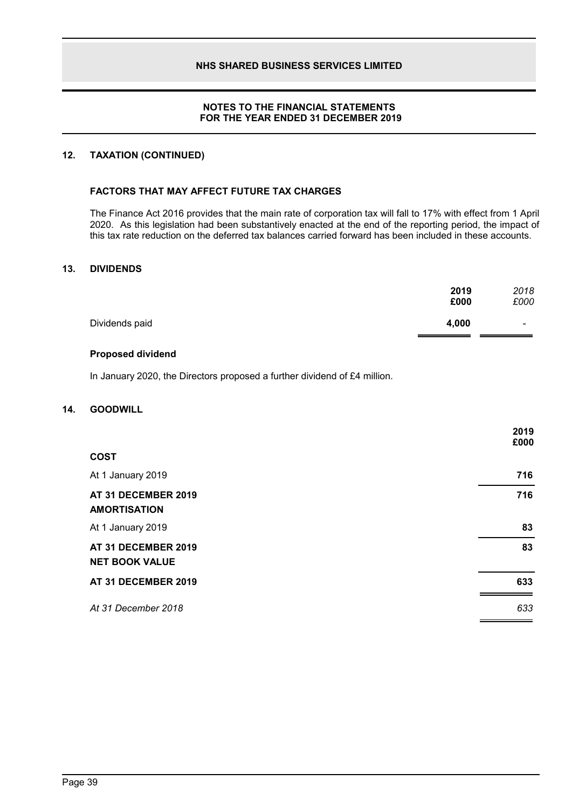# **NOTES TO THE FINANCIAL STATEMENTS FOR THE YEAR ENDED 31 DECEMBER 2019**

# **12. TAXATION (CONTINUED)**

# **FACTORS THAT MAY AFFECT FUTURE TAX CHARGES**

The Finance Act 2016 provides that the main rate of corporation tax will fall to 17% with effect from 1 April 2020. As this legislation had been substantively enacted at the end of the reporting period, the impact of this tax rate reduction on the deferred tax balances carried forward has been included in these accounts.

# **13. DIVIDENDS**

|                | 2019<br>£000 | 2018<br>£000             |
|----------------|--------------|--------------------------|
| Dividends paid | 4,000        | $\overline{\phantom{0}}$ |

# **Proposed dividend**

In January 2020, the Directors proposed a further dividend of £4 million.

# **14. GOODWILL**

|                                              | 2019<br>£000 |
|----------------------------------------------|--------------|
| <b>COST</b>                                  |              |
| At 1 January 2019                            | 716          |
| AT 31 DECEMBER 2019<br><b>AMORTISATION</b>   | 716          |
| At 1 January 2019                            | 83           |
| AT 31 DECEMBER 2019<br><b>NET BOOK VALUE</b> | 83           |
| AT 31 DECEMBER 2019                          | 633          |
| At 31 December 2018                          | 633          |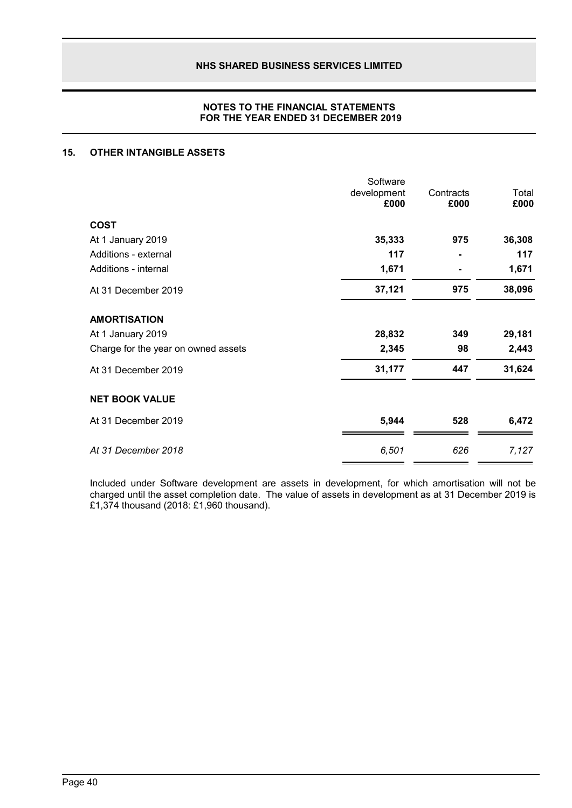# **NOTES TO THE FINANCIAL STATEMENTS FOR THE YEAR ENDED 31 DECEMBER 2019**

# **15. OTHER INTANGIBLE ASSETS**

|                                     | Software<br>development<br>£000 | Contracts<br>£000 | Total<br>£000 |
|-------------------------------------|---------------------------------|-------------------|---------------|
| <b>COST</b>                         |                                 |                   |               |
| At 1 January 2019                   | 35,333                          | 975               | 36,308        |
| Additions - external                | 117                             |                   | 117           |
| Additions - internal                | 1,671                           |                   | 1,671         |
| At 31 December 2019                 | 37,121                          | 975               | 38,096        |
| <b>AMORTISATION</b>                 |                                 |                   |               |
| At 1 January 2019                   | 28,832                          | 349               | 29,181        |
| Charge for the year on owned assets | 2,345                           | 98                | 2,443         |
| At 31 December 2019                 | 31,177                          | 447               | 31,624        |
| <b>NET BOOK VALUE</b>               |                                 |                   |               |
| At 31 December 2019                 | 5,944                           | 528               | 6,472         |
| At 31 December 2018                 | 6,501                           | 626               | 7,127         |

Included under Software development are assets in development, for which amortisation will not be charged until the asset completion date. The value of assets in development as at 31 December 2019 is £1,374 thousand (2018: £1,960 thousand).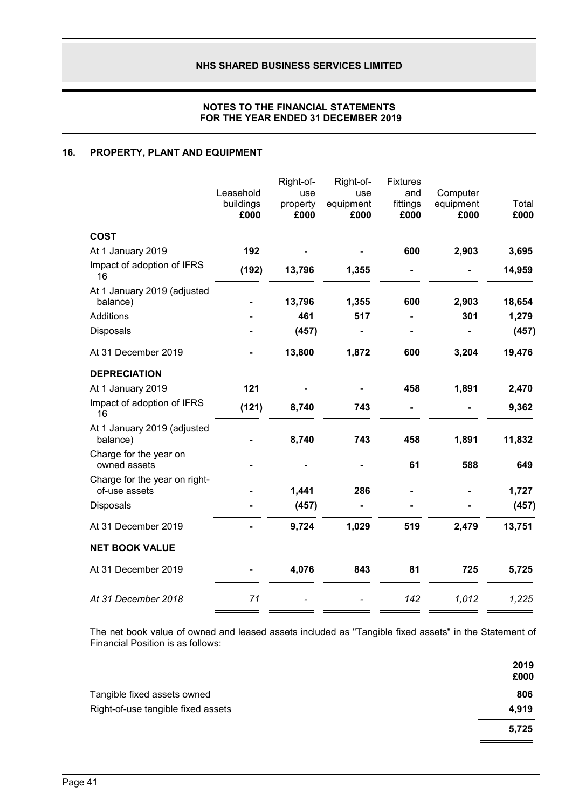# **NOTES TO THE FINANCIAL STATEMENTS FOR THE YEAR ENDED 31 DECEMBER 2019**

# **16. PROPERTY, PLANT AND EQUIPMENT**

|                                                | Leasehold<br>buildings<br>£000 | Right-of-<br>use<br>property<br>£000 | Right-of-<br>use<br>equipment<br>£000 | <b>Fixtures</b><br>and<br>fittings<br>£000 | Computer<br>equipment<br>£000 | Total<br>£000 |
|------------------------------------------------|--------------------------------|--------------------------------------|---------------------------------------|--------------------------------------------|-------------------------------|---------------|
| <b>COST</b>                                    |                                |                                      |                                       |                                            |                               |               |
| At 1 January 2019                              | 192                            |                                      |                                       | 600                                        | 2,903                         | 3,695         |
| Impact of adoption of IFRS<br>16               | (192)                          | 13,796                               | 1,355                                 |                                            |                               | 14,959        |
| At 1 January 2019 (adjusted<br>balance)        |                                | 13,796                               | 1,355                                 | 600                                        | 2,903                         | 18,654        |
| Additions                                      |                                | 461                                  | 517                                   |                                            | 301                           | 1,279         |
| <b>Disposals</b>                               |                                | (457)                                |                                       |                                            |                               | (457)         |
| At 31 December 2019                            |                                | 13,800                               | 1,872                                 | 600                                        | 3,204                         | 19,476        |
| <b>DEPRECIATION</b>                            |                                |                                      |                                       |                                            |                               |               |
| At 1 January 2019                              | 121                            |                                      |                                       | 458                                        | 1,891                         | 2,470         |
| Impact of adoption of IFRS<br>16               | (121)                          | 8,740                                | 743                                   |                                            |                               | 9,362         |
| At 1 January 2019 (adjusted<br>balance)        |                                | 8,740                                | 743                                   | 458                                        | 1,891                         | 11,832        |
| Charge for the year on<br>owned assets         |                                |                                      |                                       | 61                                         | 588                           | 649           |
| Charge for the year on right-<br>of-use assets |                                | 1,441                                | 286                                   |                                            |                               | 1,727         |
| <b>Disposals</b>                               |                                | (457)                                |                                       |                                            |                               | (457)         |
| At 31 December 2019                            |                                | 9,724                                | 1,029                                 | 519                                        | 2,479                         | 13,751        |
| <b>NET BOOK VALUE</b>                          |                                |                                      |                                       |                                            |                               |               |
| At 31 December 2019                            |                                | 4,076                                | 843                                   | 81                                         | 725                           | 5,725         |
| At 31 December 2018                            | 71                             |                                      |                                       | 142                                        | 1,012                         | 1,225         |

The net book value of owned and leased assets included as "Tangible fixed assets" in the Statement of Financial Position is as follows:

|                                    | 2019<br>£000 |
|------------------------------------|--------------|
| Tangible fixed assets owned        | 806          |
| Right-of-use tangible fixed assets | 4,919        |
|                                    | 5,725        |

<u> a shekara ta 199</u>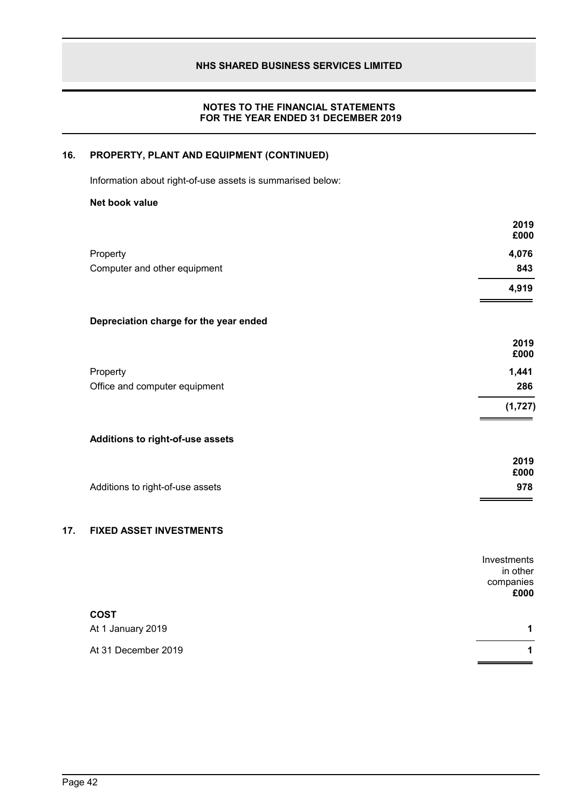# **NOTES TO THE FINANCIAL STATEMENTS FOR THE YEAR ENDED 31 DECEMBER 2019**

# **16. PROPERTY, PLANT AND EQUIPMENT (CONTINUED)**

Information about right-of-use assets is summarised below:

# **Net book value**

|     |                                        | 2019<br>£000 |
|-----|----------------------------------------|--------------|
|     | Property                               | 4,076        |
|     | Computer and other equipment           | 843          |
|     |                                        | 4,919        |
|     | Depreciation charge for the year ended |              |
|     |                                        | 2019<br>£000 |
|     | Property                               | 1,441        |
|     | Office and computer equipment          | 286          |
|     |                                        | (1, 727)     |
|     | Additions to right-of-use assets       |              |
|     |                                        | 2019         |
|     |                                        | £000         |
|     | Additions to right-of-use assets       | 978          |
| 17. | <b>FIXED ASSET INVESTMENTS</b>         |              |
|     |                                        |              |

|                     | Investments<br>in other |
|---------------------|-------------------------|
|                     | companies<br>£000       |
| <b>COST</b>         |                         |
| At 1 January 2019   |                         |
| At 31 December 2019 |                         |
|                     |                         |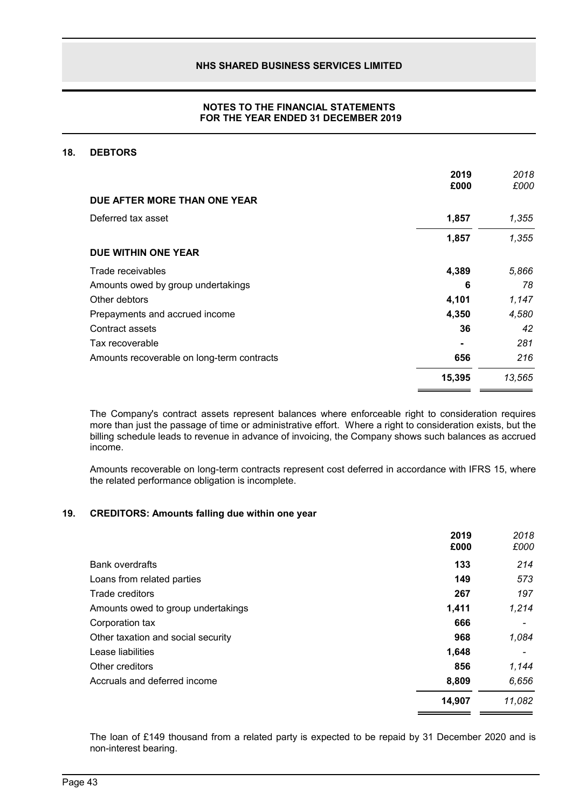# **18. DEBTORS**

|                                            | 2019<br>£000 | 2018<br>£000 |
|--------------------------------------------|--------------|--------------|
| DUE AFTER MORE THAN ONE YEAR               |              |              |
| Deferred tax asset                         | 1,857        | 1,355        |
|                                            | 1,857        | 1,355        |
| DUE WITHIN ONE YEAR                        |              |              |
| Trade receivables                          | 4,389        | 5,866        |
| Amounts owed by group undertakings         | 6            | 78           |
| Other debtors                              | 4,101        | 1,147        |
| Prepayments and accrued income             | 4,350        | 4,580        |
| Contract assets                            | 36           | 42           |
| Tax recoverable                            |              | 281          |
| Amounts recoverable on long-term contracts | 656          | 216          |
|                                            | 15,395       | 13,565       |

The Company's contract assets represent balances where enforceable right to consideration requires more than just the passage of time or administrative effort. Where a right to consideration exists, but the billing schedule leads to revenue in advance of invoicing, the Company shows such balances as accrued income.

Amounts recoverable on long-term contracts represent cost deferred in accordance with IFRS 15, where the related performance obligation is incomplete.

#### **19. CREDITORS: Amounts falling due within one year**

|                                    | 2019<br>£000 | 2018<br>£000 |
|------------------------------------|--------------|--------------|
| <b>Bank overdrafts</b>             | 133          | 214          |
| Loans from related parties         | 149          | 573          |
| Trade creditors                    | 267          | 197          |
| Amounts owed to group undertakings | 1,411        | 1,214        |
| Corporation tax                    | 666          |              |
| Other taxation and social security | 968          | 1,084        |
| Lease liabilities                  | 1,648        |              |
| Other creditors                    | 856          | 1,144        |
| Accruals and deferred income       | 8,809        | 6,656        |
|                                    | 14,907       | 11,082       |

The loan of £149 thousand from a related party is expected to be repaid by 31 December 2020 and is non-interest bearing.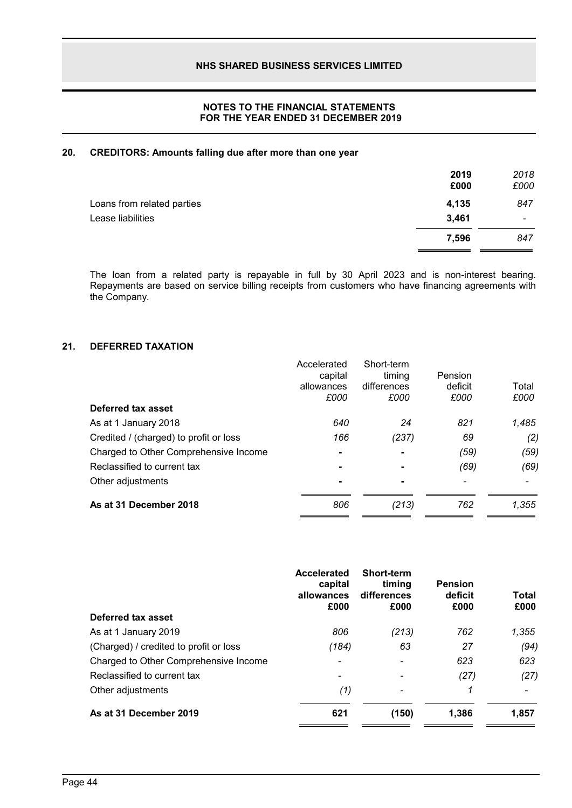# **NOTES TO THE FINANCIAL STATEMENTS FOR THE YEAR ENDED 31 DECEMBER 2019**

# **20. CREDITORS: Amounts falling due after more than one year**

|                            | 2019<br>£000 | 2018<br>£000             |
|----------------------------|--------------|--------------------------|
| Loans from related parties | 4,135        | 847                      |
| Lease liabilities          | 3,461        | $\overline{\phantom{0}}$ |
|                            | 7,596        | 847                      |

The loan from a related party is repayable in full by 30 April 2023 and is non-interest bearing. Repayments are based on service billing receipts from customers who have financing agreements with the Company.

# **21. DEFERRED TAXATION**

| Accelerated<br>capital<br>allowances<br>£000 | Short-term<br>timina<br>differences<br>£000 | Pension<br>deficit<br>£000 | Total<br>£000 |
|----------------------------------------------|---------------------------------------------|----------------------------|---------------|
|                                              |                                             |                            |               |
| 640                                          | 24                                          | 821                        | 1,485         |
| 166                                          | (237)                                       | 69                         | (2)           |
|                                              |                                             | (59)                       | (59)          |
|                                              | $\blacksquare$                              | (69)                       | (69)          |
|                                              | $\blacksquare$                              | $\overline{a}$             |               |
| 806                                          | (213)                                       | 762                        | 1,355         |
|                                              |                                             |                            |               |

|                                        | <b>Accelerated</b><br>capital<br>allowances<br>£000 | <b>Short-term</b><br>timing<br>differences<br>£000 | <b>Pension</b><br>deficit<br>£000 | Total<br>£000 |
|----------------------------------------|-----------------------------------------------------|----------------------------------------------------|-----------------------------------|---------------|
| Deferred tax asset                     |                                                     |                                                    |                                   |               |
| As at 1 January 2019                   | 806                                                 | (213)                                              | 762                               | 1,355         |
| (Charged) / credited to profit or loss | (184)                                               | 63                                                 | 27                                | (94)          |
| Charged to Other Comprehensive Income  |                                                     | $\overline{\phantom{a}}$                           | 623                               | 623           |
| Reclassified to current tax            |                                                     | -                                                  | (27)                              | (27)          |
| Other adjustments                      | (1)                                                 | -                                                  |                                   |               |
| As at 31 December 2019                 | 621                                                 | (150)                                              | 1,386                             | 1,857         |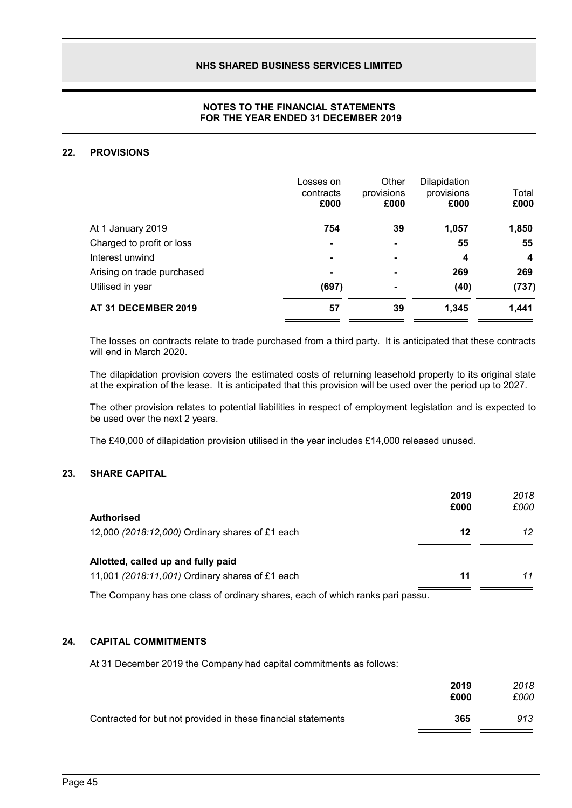# **22. PROVISIONS**

|                            | Losses on<br>contracts<br>£000 | Other<br>provisions<br>£000 | Dilapidation<br>provisions<br>£000 | Total<br>£000    |
|----------------------------|--------------------------------|-----------------------------|------------------------------------|------------------|
| At 1 January 2019          | 754                            | 39                          | 1,057                              | 1,850            |
| Charged to profit or loss  | $\overline{\phantom{0}}$       | $\blacksquare$              | 55                                 | 55               |
| Interest unwind            | $\blacksquare$                 | $\blacksquare$              | 4                                  | $\boldsymbol{4}$ |
| Arising on trade purchased |                                |                             | 269                                | 269              |
| Utilised in year           | (697)                          | $\blacksquare$              | (40)                               | (737)            |
| AT 31 DECEMBER 2019        | 57                             | 39                          | 1,345                              | 1,441            |

The losses on contracts relate to trade purchased from a third party. It is anticipated that these contracts will end in March 2020.

The dilapidation provision covers the estimated costs of returning leasehold property to its original state at the expiration of the lease. It is anticipated that this provision will be used over the period up to 2027.

The other provision relates to potential liabilities in respect of employment legislation and is expected to be used over the next 2 years.

The £40,000 of dilapidation provision utilised in the year includes £14,000 released unused.

#### **23. SHARE CAPITAL**

| <b>Authorised</b>                                                             | 2019<br>£000 | 2018<br>£000 |
|-------------------------------------------------------------------------------|--------------|--------------|
| 12,000 (2018:12,000) Ordinary shares of £1 each                               | 12           | 12           |
| Allotted, called up and fully paid                                            |              |              |
| 11,001 (2018:11,001) Ordinary shares of £1 each                               | 11           | 11           |
| The Company has one class of ordinary shares, each of which ranks pari passu. |              |              |

# **24. CAPITAL COMMITMENTS**

At 31 December 2019 the Company had capital commitments as follows:

|                                                               | 2019<br>£000 | 2018<br>£000 |
|---------------------------------------------------------------|--------------|--------------|
| Contracted for but not provided in these financial statements | 365          | 913          |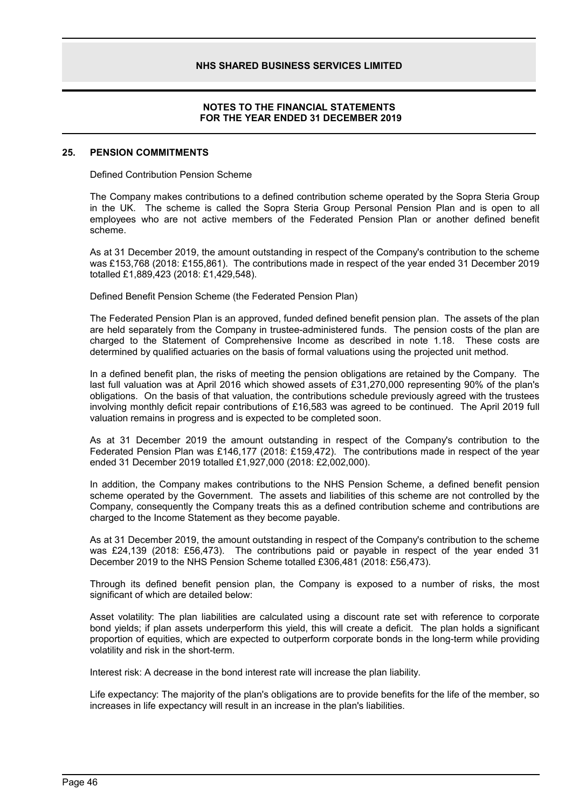# **NOTES TO THE FINANCIAL STATEMENTS FOR THE YEAR ENDED 31 DECEMBER 2019**

# **25. PENSION COMMITMENTS**

Defined Contribution Pension Scheme

The Company makes contributions to a defined contribution scheme operated by the Sopra Steria Group in the UK. The scheme is called the Sopra Steria Group Personal Pension Plan and is open to all employees who are not active members of the Federated Pension Plan or another defined benefit scheme.

As at 31 December 2019, the amount outstanding in respect of the Company's contribution to the scheme was £153,768 (2018: £155,861). The contributions made in respect of the year ended 31 December 2019 totalled £1,889,423 (2018: £1,429,548).

Defined Benefit Pension Scheme (the Federated Pension Plan)

The Federated Pension Plan is an approved, funded defined benefit pension plan. The assets of the plan are held separately from the Company in trustee-administered funds. The pension costs of the plan are charged to the Statement of Comprehensive Income as described in note 1.18. These costs are determined by qualified actuaries on the basis of formal valuations using the projected unit method.

In a defined benefit plan, the risks of meeting the pension obligations are retained by the Company. The last full valuation was at April 2016 which showed assets of £31,270,000 representing 90% of the plan's obligations. On the basis of that valuation, the contributions schedule previously agreed with the trustees involving monthly deficit repair contributions of £16,583 was agreed to be continued. The April 2019 full valuation remains in progress and is expected to be completed soon.

As at 31 December 2019 the amount outstanding in respect of the Company's contribution to the Federated Pension Plan was £146,177 (2018: £159,472). The contributions made in respect of the year ended 31 December 2019 totalled £1,927,000 (2018: £2,002,000).

In addition, the Company makes contributions to the NHS Pension Scheme, a defined benefit pension scheme operated by the Government. The assets and liabilities of this scheme are not controlled by the Company, consequently the Company treats this as a defined contribution scheme and contributions are charged to the Income Statement as they become payable.

As at 31 December 2019, the amount outstanding in respect of the Company's contribution to the scheme was £24,139 (2018: £56,473). The contributions paid or payable in respect of the year ended 31 December 2019 to the NHS Pension Scheme totalled £306,481 (2018: £56,473).

Through its defined benefit pension plan, the Company is exposed to a number of risks, the most significant of which are detailed below:

Asset volatility: The plan liabilities are calculated using a discount rate set with reference to corporate bond yields; if plan assets underperform this yield, this will create a deficit. The plan holds a significant proportion of equities, which are expected to outperform corporate bonds in the long-term while providing volatility and risk in the short-term.

Interest risk: A decrease in the bond interest rate will increase the plan liability.

Life expectancy: The majority of the plan's obligations are to provide benefits for the life of the member, so increases in life expectancy will result in an increase in the plan's liabilities.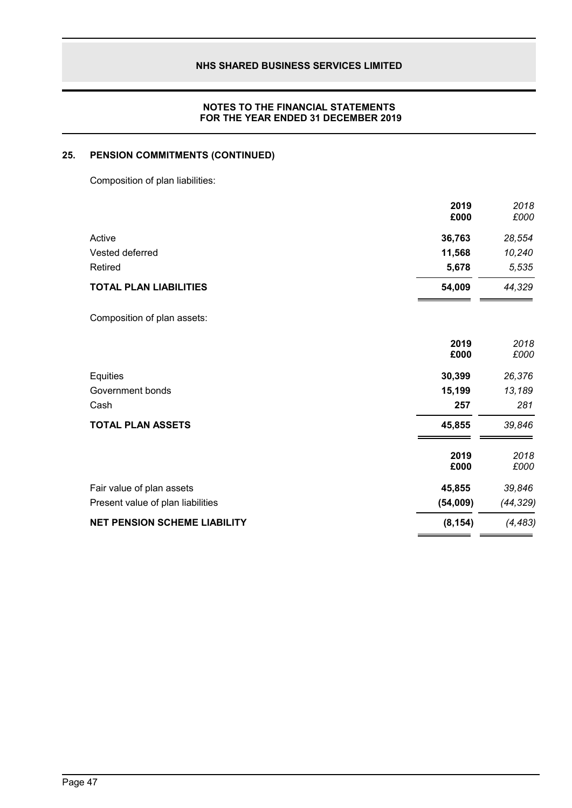# **NOTES TO THE FINANCIAL STATEMENTS FOR THE YEAR ENDED 31 DECEMBER 2019**

# **25. PENSION COMMITMENTS (CONTINUED)**

Composition of plan liabilities:

|                                     | 2019<br>£000 | 2018<br>£000 |
|-------------------------------------|--------------|--------------|
|                                     |              |              |
| Active                              | 36,763       | 28,554       |
| Vested deferred                     | 11,568       | 10,240       |
| Retired                             | 5,678        | 5,535        |
| <b>TOTAL PLAN LIABILITIES</b>       | 54,009       | 44,329       |
| Composition of plan assets:         |              |              |
|                                     | 2019         | 2018         |
|                                     | £000         | £000         |
| Equities                            | 30,399       | 26,376       |
| Government bonds                    | 15,199       | 13,189       |
| Cash                                | 257          | 281          |
| <b>TOTAL PLAN ASSETS</b>            | 45,855       | 39,846       |
|                                     | 2019         | 2018         |
|                                     | £000         | £000         |
| Fair value of plan assets           | 45,855       | 39,846       |
| Present value of plan liabilities   | (54,009)     | (44, 329)    |
| <b>NET PENSION SCHEME LIABILITY</b> | (8, 154)     | (4, 483)     |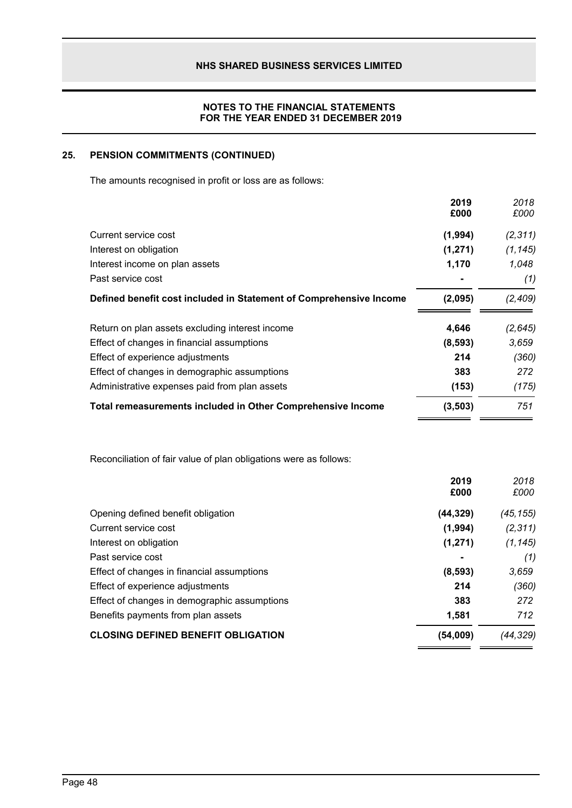# **NOTES TO THE FINANCIAL STATEMENTS FOR THE YEAR ENDED 31 DECEMBER 2019**

# **25. PENSION COMMITMENTS (CONTINUED)**

The amounts recognised in profit or loss are as follows:

|                                                                    | 2019<br>£000 | 2018<br>£000 |
|--------------------------------------------------------------------|--------------|--------------|
| Current service cost                                               | (1,994)      | (2, 311)     |
| Interest on obligation                                             | (1, 271)     | (1, 145)     |
| Interest income on plan assets                                     | 1,170        | 1,048        |
| Past service cost                                                  |              | (1)          |
| Defined benefit cost included in Statement of Comprehensive Income | (2,095)      | (2, 409)     |
| Return on plan assets excluding interest income                    | 4,646        | (2, 645)     |
| Effect of changes in financial assumptions                         | (8, 593)     | 3,659        |
| Effect of experience adjustments                                   | 214          | (360)        |
| Effect of changes in demographic assumptions                       | 383          | 272          |
| Administrative expenses paid from plan assets                      | (153)        | (175)        |
| Total remeasurements included in Other Comprehensive Income        | (3, 503)     | 751          |
| Reconciliation of fair value of plan obligations were as follows:  |              |              |
|                                                                    | 2019         | 2018         |
|                                                                    | £000         | £000         |
|                                                                    |              |              |

| Opening defined benefit obligation           | (44, 329)      | (45,155) |
|----------------------------------------------|----------------|----------|
| Current service cost                         | (1,994)        | (2, 311) |
| Interest on obligation                       | (1,271)        | (1, 145) |
| Past service cost                            | $\blacksquare$ | (1)      |
| Effect of changes in financial assumptions   | (8,593)        | 3,659    |
| Effect of experience adjustments             | 214            | (360)    |
| Effect of changes in demographic assumptions | 383            | 272      |
| Benefits payments from plan assets           | 1.581          | 712      |
| <b>CLOSING DEFINED BENEFIT OBLIGATION</b>    | (54,009)       | (44,329) |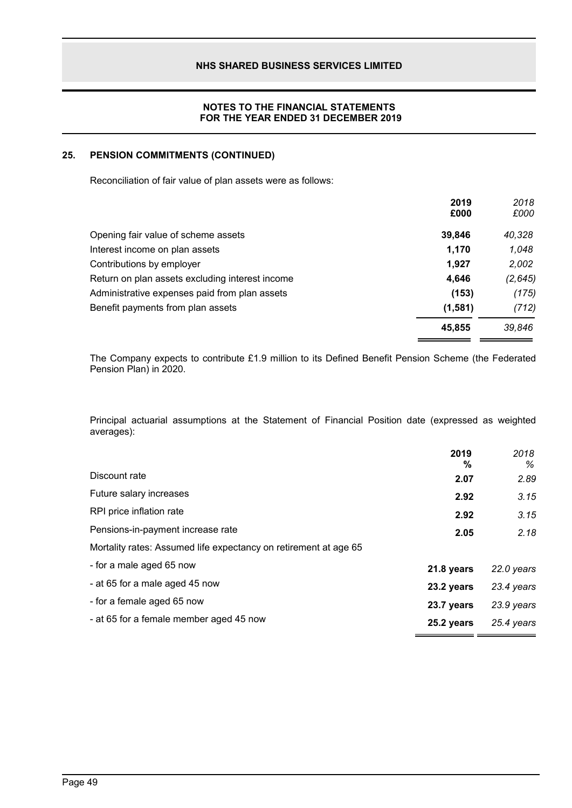# **NOTES TO THE FINANCIAL STATEMENTS FOR THE YEAR ENDED 31 DECEMBER 2019**

# **25. PENSION COMMITMENTS (CONTINUED)**

Reconciliation of fair value of plan assets were as follows:

|                                                 | 2019    | 2018    |
|-------------------------------------------------|---------|---------|
|                                                 | £000    | £000    |
| Opening fair value of scheme assets             | 39,846  | 40,328  |
| Interest income on plan assets                  | 1,170   | 1,048   |
| Contributions by employer                       | 1.927   | 2,002   |
| Return on plan assets excluding interest income | 4,646   | (2,645) |
| Administrative expenses paid from plan assets   | (153)   | (175)   |
| Benefit payments from plan assets               | (1,581) | (712)   |
|                                                 | 45,855  | 39,846  |
|                                                 |         |         |

The Company expects to contribute £1.9 million to its Defined Benefit Pension Scheme (the Federated Pension Plan) in 2020.

Principal actuarial assumptions at the Statement of Financial Position date (expressed as weighted averages):

|                                                                  | 2019<br>%  | 2018<br>%  |
|------------------------------------------------------------------|------------|------------|
| Discount rate                                                    | 2.07       | 2.89       |
| Future salary increases                                          | 2.92       | 3.15       |
| RPI price inflation rate                                         | 2.92       | 3.15       |
| Pensions-in-payment increase rate                                | 2.05       | 2.18       |
| Mortality rates: Assumed life expectancy on retirement at age 65 |            |            |
| - for a male aged 65 now                                         | 21.8 years | 22.0 years |
| - at 65 for a male aged 45 now                                   | 23.2 years | 23.4 years |
| - for a female aged 65 now                                       | 23.7 years | 23.9 years |
| - at 65 for a female member aged 45 now                          | 25.2 years | 25.4 years |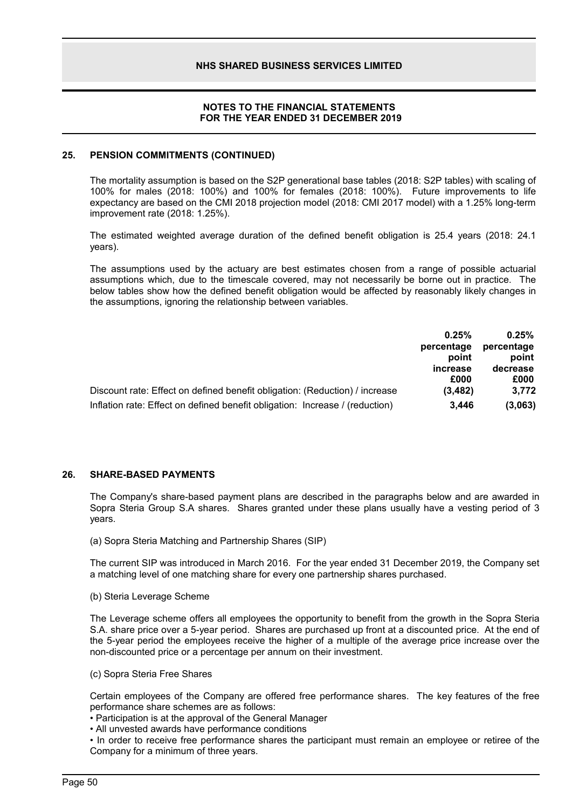# **NOTES TO THE FINANCIAL STATEMENTS FOR THE YEAR ENDED 31 DECEMBER 2019**

# **25. PENSION COMMITMENTS (CONTINUED)**

The mortality assumption is based on the S2P generational base tables (2018: S2P tables) with scaling of 100% for males (2018: 100%) and 100% for females (2018: 100%). Future improvements to life expectancy are based on the CMI 2018 projection model (2018: CMI 2017 model) with a 1.25% long-term improvement rate (2018: 1.25%).

The estimated weighted average duration of the defined benefit obligation is 25.4 years (2018: 24.1 years).

The assumptions used by the actuary are best estimates chosen from a range of possible actuarial assumptions which, due to the timescale covered, may not necessarily be borne out in practice. The below tables show how the defined benefit obligation would be affected by reasonably likely changes in the assumptions, ignoring the relationship between variables.

|                                                                              | 0.25%      | 0.25%      |
|------------------------------------------------------------------------------|------------|------------|
|                                                                              | percentage | percentage |
|                                                                              | point      | point      |
|                                                                              | increase   | decrease   |
|                                                                              | £000       | £000       |
| Discount rate: Effect on defined benefit obligation: (Reduction) / increase  | (3, 482)   | 3.772      |
| Inflation rate: Effect on defined benefit obligation: Increase / (reduction) | 3.446      | (3,063)    |

#### **26. SHARE-BASED PAYMENTS**

The Company's share-based payment plans are described in the paragraphs below and are awarded in Sopra Steria Group S.A shares. Shares granted under these plans usually have a vesting period of 3 years.

(a) Sopra Steria Matching and Partnership Shares (SIP)

The current SIP was introduced in March 2016. For the year ended 31 December 2019, the Company set a matching level of one matching share for every one partnership shares purchased.

(b) Steria Leverage Scheme

The Leverage scheme offers all employees the opportunity to benefit from the growth in the Sopra Steria S.A. share price over a 5-year period. Shares are purchased up front at a discounted price. At the end of the 5-year period the employees receive the higher of a multiple of the average price increase over the non-discounted price or a percentage per annum on their investment.

(c) Sopra Steria Free Shares

Certain employees of the Company are offered free performance shares. The key features of the free performance share schemes are as follows:

- Participation is at the approval of the General Manager
- All unvested awards have performance conditions

• In order to receive free performance shares the participant must remain an employee or retiree of the Company for a minimum of three years.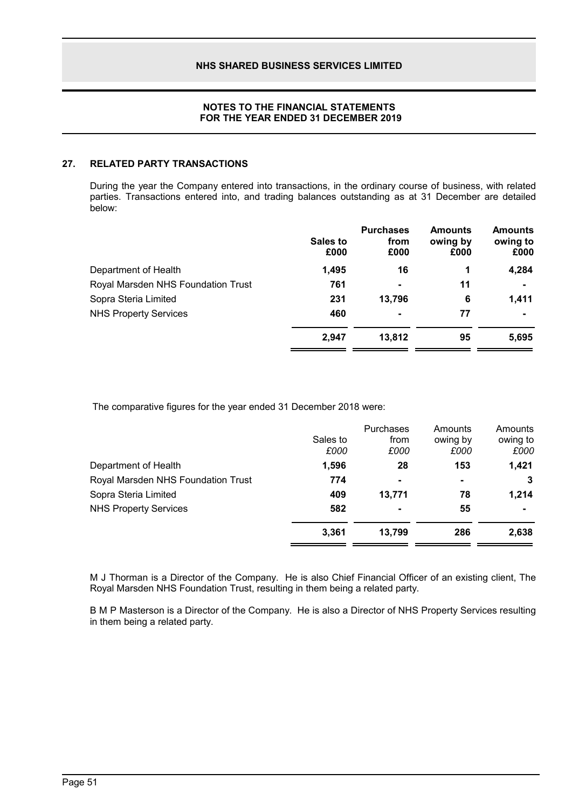# **NOTES TO THE FINANCIAL STATEMENTS FOR THE YEAR ENDED 31 DECEMBER 2019**

# **27. RELATED PARTY TRANSACTIONS**

During the year the Company entered into transactions, in the ordinary course of business, with related parties. Transactions entered into, and trading balances outstanding as at 31 December are detailed below:

|                                    | Sales to<br>£000 | <b>Purchases</b><br>from<br>£000 | <b>Amounts</b><br>owing by<br>£000 | <b>Amounts</b><br>owing to<br>£000 |
|------------------------------------|------------------|----------------------------------|------------------------------------|------------------------------------|
| Department of Health               | 1,495            | 16                               | 1                                  | 4,284                              |
| Royal Marsden NHS Foundation Trust | 761              | $\blacksquare$                   | 11                                 |                                    |
| Sopra Steria Limited               | 231              | 13,796                           | 6                                  | 1,411                              |
| <b>NHS Property Services</b>       | 460              | $\blacksquare$                   | 77                                 |                                    |
|                                    | 2,947            | 13.812                           | 95                                 | 5,695                              |

The comparative figures for the year ended 31 December 2018 were:

|                                    |          | Purchases | Amounts        | Amounts  |
|------------------------------------|----------|-----------|----------------|----------|
|                                    | Sales to | from      | owing by       | owing to |
|                                    | £000     | £000      | £000           | £000     |
| Department of Health               | 1,596    | 28        | 153            | 1,421    |
| Royal Marsden NHS Foundation Trust | 774      |           | $\blacksquare$ | 3        |
| Sopra Steria Limited               | 409      | 13.771    | 78             | 1,214    |
| <b>NHS Property Services</b>       | 582      |           | 55             |          |
|                                    | 3,361    | 13.799    | 286            | 2,638    |
|                                    |          |           |                |          |

M J Thorman is a Director of the Company. He is also Chief Financial Officer of an existing client, The Royal Marsden NHS Foundation Trust, resulting in them being a related party.

B M P Masterson is a Director of the Company. He is also a Director of NHS Property Services resulting in them being a related party.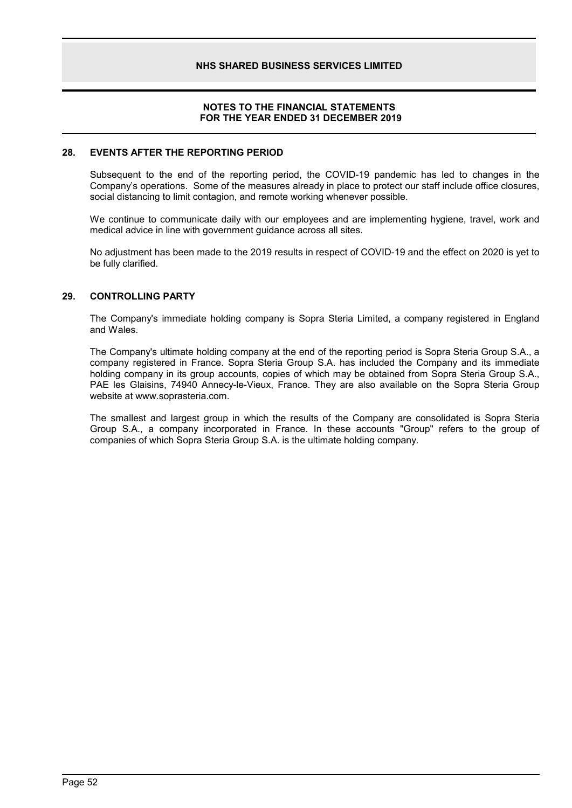# **NOTES TO THE FINANCIAL STATEMENTS FOR THE YEAR ENDED 31 DECEMBER 2019**

# **28. EVENTS AFTER THE REPORTING PERIOD**

Subsequent to the end of the reporting period, the COVID-19 pandemic has led to changes in the Company's operations. Some of the measures already in place to protect our staff include office closures, social distancing to limit contagion, and remote working whenever possible.

We continue to communicate daily with our employees and are implementing hygiene, travel, work and medical advice in line with government guidance across all sites.

No adjustment has been made to the 2019 results in respect of COVID-19 and the effect on 2020 is yet to be fully clarified.

# **29. CONTROLLING PARTY**

The Company's immediate holding company is Sopra Steria Limited, a company registered in England and Wales.

The Company's ultimate holding company at the end of the reporting period is Sopra Steria Group S.A., a company registered in France. Sopra Steria Group S.A. has included the Company and its immediate holding company in its group accounts, copies of which may be obtained from Sopra Steria Group S.A., PAE les Glaisins, 74940 Annecy-le-Vieux, France. They are also available on the Sopra Steria Group website at www.soprasteria.com.

The smallest and largest group in which the results of the Company are consolidated is Sopra Steria Group S.A., a company incorporated in France. In these accounts "Group" refers to the group of companies of which Sopra Steria Group S.A. is the ultimate holding company.